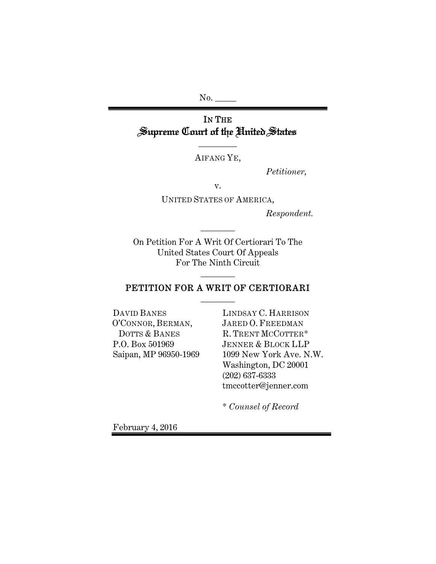No. \_\_

# IN THE Supreme Court of the United States

AIFANG YE,

 $\overline{\phantom{a}}$   $\overline{\phantom{a}}$ 

*Petitioner,* 

v.

UNITED STATES OF AMERICA,

*Respondent.*

On Petition For A Writ Of Certiorari To The United States Court Of Appeals For The Ninth Circuit

\_\_\_\_\_\_\_\_

## PETITION FOR A WRIT OF CERTIORARI \_\_\_\_\_\_\_\_

\_\_\_\_\_\_\_\_

DAVID BANES O'CONNOR, BERMAN, DOTTS & BANES P.O. Box 501969 Saipan, MP 96950-1969 LINDSAY C. HARRISON JARED O. FREEDMAN R. TRENT MCCOTTER\* JENNER & BLOCK LLP 1099 New York Ave. N.W. Washington, DC 20001 (202) 637-6333 tmccotter@jenner.com

\* *Counsel of Record*

February 4, 2016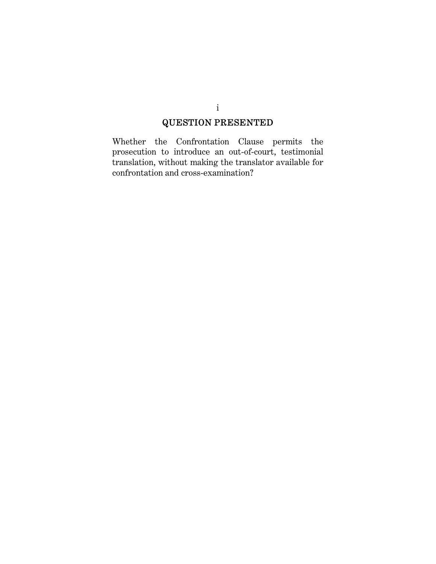# QUESTION PRESENTED

Whether the Confrontation Clause permits the prosecution to introduce an out-of-court, testimonial translation, without making the translator available for confrontation and cross-examination?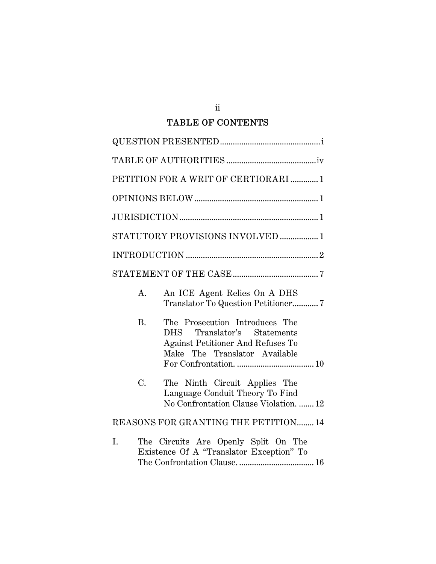## TABLE OF CONTENTS

| PETITION FOR A WRIT OF CERTIORARI  1                                                                                                             |
|--------------------------------------------------------------------------------------------------------------------------------------------------|
|                                                                                                                                                  |
|                                                                                                                                                  |
| STATUTORY PROVISIONS INVOLVED  1                                                                                                                 |
|                                                                                                                                                  |
|                                                                                                                                                  |
| An ICE Agent Relies On A DHS<br>A.<br>Translator To Question Petitioner7                                                                         |
| <b>B.</b><br>The Prosecution Introduces The<br>DHS Translator's Statements<br>Against Petitioner And Refuses To<br>Make The Translator Available |
| C.<br>The Ninth Circuit Applies The<br>Language Conduit Theory To Find<br>No Confrontation Clause Violation.  12                                 |
| REASONS FOR GRANTING THE PETITION 14                                                                                                             |
| The Circuits Are Openly Split On The<br>I.<br>Existence Of A "Translator Exception" To                                                           |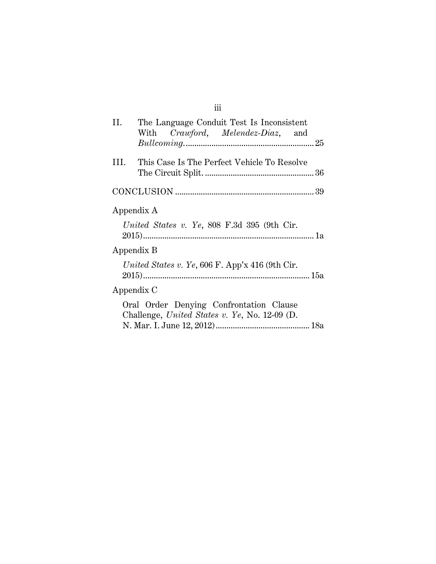| Н.  | The Language Conduit Test Is Inconsistent<br>With Crawford, Melendez-Diaz, and                                             |
|-----|----------------------------------------------------------------------------------------------------------------------------|
| HL. | This Case Is The Perfect Vehicle To Resolve                                                                                |
|     |                                                                                                                            |
|     | Appendix A<br>United States v. Ye, 808 F.3d 395 (9th Cir.<br>Appendix B<br>United States v. Ye, 606 F. App'x 416 (9th Cir. |
|     | Appendix C                                                                                                                 |
|     | Oral Order Denying Confrontation Clause<br>Challenge, United States v. Ye, No. 12-09 (D.                                   |

iii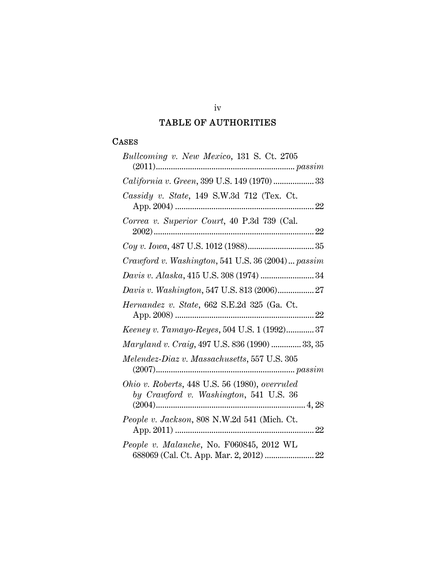## TABLE OF AUTHORITIES

## CASES

| Bullcoming v. New Mexico, 131 S. Ct. 2705                                                |
|------------------------------------------------------------------------------------------|
| California v. Green, 399 U.S. 149 (1970)  33                                             |
| Cassidy v. State, 149 S.W.3d 712 (Tex. Ct.                                               |
| Correa v. Superior Court, 40 P.3d 739 (Cal.                                              |
|                                                                                          |
| Crawford v. Washington, 541 U.S. 36 (2004)  passim                                       |
|                                                                                          |
| Davis v. Washington, 547 U.S. 813 (2006) 27                                              |
| Hernandez v. State, 662 S.E.2d 325 (Ga. Ct.                                              |
| Keeney v. Tamayo-Reyes, 504 U.S. 1 (1992)37                                              |
| Maryland v. Craig, 497 U.S. 836 (1990)  33, 35                                           |
| Melendez-Diaz v. Massachusetts, 557 U.S. 305                                             |
| Ohio v. Roberts, 448 U.S. 56 (1980), overruled<br>by Crawford v. Washington, 541 U.S. 36 |
| People v. Jackson, 808 N.W.2d 541 (Mich. Ct.                                             |
| People v. Malanche, No. F060845, 2012 WL<br>688069 (Cal. Ct. App. Mar. 2, 2012)  22      |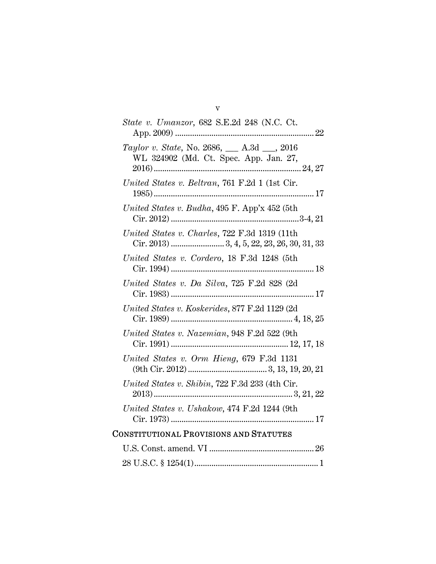| <i>State v. Umanzor</i> , 682 S.E.2d 248 (N.C. Ct.                                          |
|---------------------------------------------------------------------------------------------|
| Taylor v. State, No. 2686, __ A.3d __, 2016<br>WL 324902 (Md. Ct. Spec. App. Jan. 27,       |
| United States v. Beltran, 761 F.2d 1 (1st Cir.                                              |
| United States v. Budha, $495$ F. App'x $452$ (5th                                           |
| United States v. Charles, 722 F.3d 1319 (11th<br>Cir. 2013) 3, 4, 5, 22, 23, 26, 30, 31, 33 |
| United States v. Cordero, 18 F.3d 1248 (5th                                                 |
| United States v. Da Silva, 725 F.2d 828 (2d                                                 |
| United States v. Koskerides, 877 F.2d 1129 (2d)                                             |
| United States v. Nazemian, 948 F.2d 522 (9th                                                |
| United States v. Orm Hieng, 679 F.3d 1131                                                   |
| United States v. Shibin, 722 F.3d 233 (4th Cir.                                             |
| United States v. Ushakow, 474 F.2d 1244 (9th                                                |
| <b>CONSTITUTIONAL PROVISIONS AND STATUTES</b>                                               |
|                                                                                             |
|                                                                                             |

v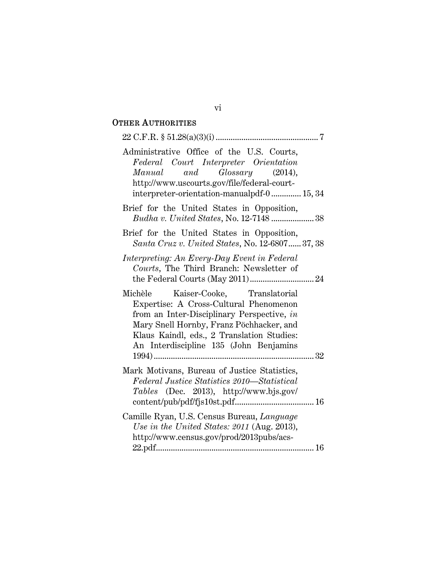## OTHER AUTHORITIES

| Administrative Office of the U.S. Courts,<br>Federal Court Interpreter Orientation<br>Manual and Glossary (2014),<br>http://www.uscourts.gov/file/federal-court-<br>interpreter-orientation-manualpdf-0 15, 34                                                  |
|-----------------------------------------------------------------------------------------------------------------------------------------------------------------------------------------------------------------------------------------------------------------|
| Brief for the United States in Opposition,<br>Budha v. United States, No. 12-7148  38                                                                                                                                                                           |
| Brief for the United States in Opposition,<br>Santa Cruz v. United States, No. 12-6807 37, 38                                                                                                                                                                   |
| Interpreting: An Every-Day Event in Federal<br>Courts, The Third Branch: Newsletter of                                                                                                                                                                          |
| Michèle Kaiser-Cooke, Translatorial<br>Expertise: A Cross-Cultural Phenomenon<br>from an Inter-Disciplinary Perspective, in<br>Mary Snell Hornby, Franz Pöchhacker, and<br>Klaus Kaindl, eds., 2 Translation Studies:<br>An Interdiscipline 135 (John Benjamins |
| Mark Motivans, Bureau of Justice Statistics,<br>Federal Justice Statistics 2010—Statistical<br><i>Tables</i> (Dec. 2013), http://www.bjs.gov/                                                                                                                   |
| Camille Ryan, U.S. Census Bureau, Language<br>Use in the United States: 2011 (Aug. 2013),<br>http://www.census.gov/prod/2013pubs/acs-                                                                                                                           |

## vi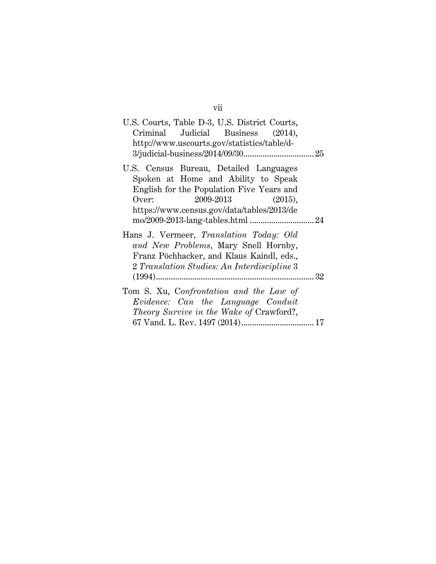| U.S. Courts, Table D-3, U.S. District Courts,<br>Criminal Judicial Business (2014),<br>http://www.uscourts.gov/statistics/table/d-                                                                       |  |
|----------------------------------------------------------------------------------------------------------------------------------------------------------------------------------------------------------|--|
| U.S. Census Bureau, Detailed Languages<br>Spoken at Home and Ability to Speak<br>English for the Population Five Years and<br>$2009-2013$ (2015),<br>Over:<br>https://www.census.gov/data/tables/2013/de |  |
|                                                                                                                                                                                                          |  |
| Hans J. Vermeer, Translation Today: Old<br>and New Problems, Mary Snell Hornby,<br>Franz Pöchhacker, and Klaus Kaindl, eds.,<br>2 Translation Studies: An Interdiscipline 3                              |  |
|                                                                                                                                                                                                          |  |
| Tom S. Xu, Confrontation and the Law of                                                                                                                                                                  |  |
| Evidence: Can the Language Conduit                                                                                                                                                                       |  |
| Theory Survive in the Wake of Crawford?,                                                                                                                                                                 |  |
|                                                                                                                                                                                                          |  |

vii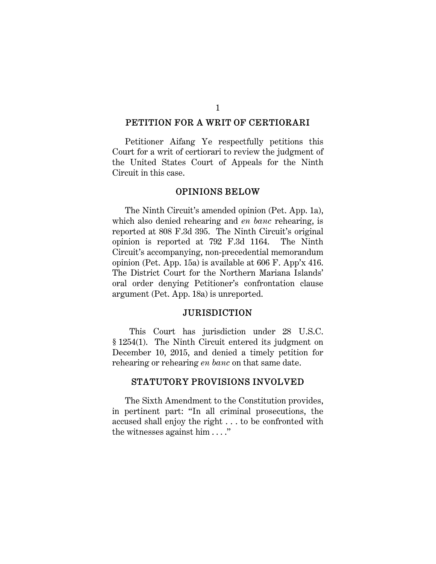#### PETITION FOR A WRIT OF CERTIORARI

Petitioner Aifang Ye respectfully petitions this Court for a writ of certiorari to review the judgment of the United States Court of Appeals for the Ninth Circuit in this case.

#### OPINIONS BELOW

The Ninth Circuit's amended opinion (Pet. App. 1a), which also denied rehearing and *en banc* rehearing, is reported at 808 F.3d 395. The Ninth Circuit's original opinion is reported at 792 F.3d 1164. The Ninth Circuit's accompanying, non-precedential memorandum opinion (Pet. App. 15a) is available at 606 F. App'x 416. The District Court for the Northern Mariana Islands' oral order denying Petitioner's confrontation clause argument (Pet. App. 18a) is unreported.

#### JURISDICTION

 This Court has jurisdiction under 28 U.S.C. § 1254(1). The Ninth Circuit entered its judgment on December 10, 2015, and denied a timely petition for rehearing or rehearing *en banc* on that same date.

### STATUTORY PROVISIONS INVOLVED

The Sixth Amendment to the Constitution provides, in pertinent part: "In all criminal prosecutions, the accused shall enjoy the right . . . to be confronted with the witnesses against him . . . ."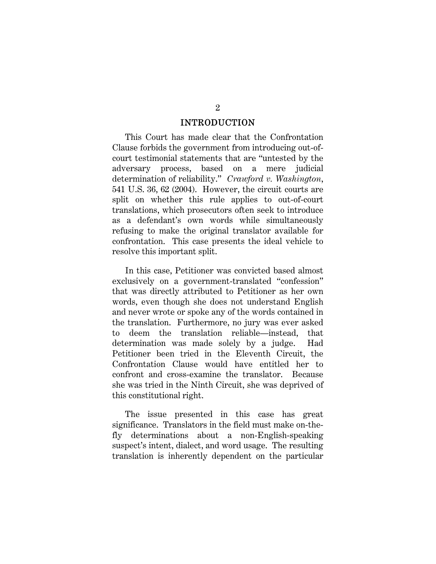#### INTRODUCTION

This Court has made clear that the Confrontation Clause forbids the government from introducing out-ofcourt testimonial statements that are "untested by the adversary process, based on a mere judicial determination of reliability." *Crawford v. Washington*, 541 U.S. 36, 62 (2004). However, the circuit courts are split on whether this rule applies to out-of-court translations, which prosecutors often seek to introduce as a defendant's own words while simultaneously refusing to make the original translator available for confrontation. This case presents the ideal vehicle to resolve this important split.

In this case, Petitioner was convicted based almost exclusively on a government-translated "confession" that was directly attributed to Petitioner as her own words, even though she does not understand English and never wrote or spoke any of the words contained in the translation. Furthermore, no jury was ever asked to deem the translation reliable—instead, that determination was made solely by a judge. Had Petitioner been tried in the Eleventh Circuit, the Confrontation Clause would have entitled her to confront and cross-examine the translator. Because she was tried in the Ninth Circuit, she was deprived of this constitutional right.

The issue presented in this case has great significance. Translators in the field must make on-thefly determinations about a non-English-speaking suspect's intent, dialect, and word usage. The resulting translation is inherently dependent on the particular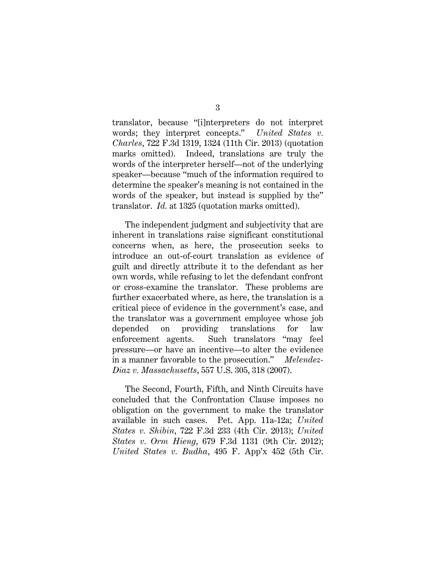translator, because "[i]nterpreters do not interpret words; they interpret concepts." *United States v. Charles*, 722 F.3d 1319, 1324 (11th Cir. 2013) (quotation marks omitted). Indeed, translations are truly the words of the interpreter herself—not of the underlying speaker—because "much of the information required to determine the speaker's meaning is not contained in the words of the speaker, but instead is supplied by the" translator. *Id.* at 1325 (quotation marks omitted).

The independent judgment and subjectivity that are inherent in translations raise significant constitutional concerns when, as here, the prosecution seeks to introduce an out-of-court translation as evidence of guilt and directly attribute it to the defendant as her own words, while refusing to let the defendant confront or cross-examine the translator. These problems are further exacerbated where, as here, the translation is a critical piece of evidence in the government's case, and the translator was a government employee whose job depended on providing translations for law enforcement agents. Such translators "may feel pressure—or have an incentive—to alter the evidence in a manner favorable to the prosecution." *Melendez-Diaz v. Massachusetts*, 557 U.S. 305, 318 (2007).

The Second, Fourth, Fifth, and Ninth Circuits have concluded that the Confrontation Clause imposes no obligation on the government to make the translator available in such cases. Pet. App. 11a-12a; *United States v. Shibin*, 722 F.3d 233 (4th Cir. 2013); *United States v. Orm Hieng*, 679 F.3d 1131 (9th Cir. 2012); *United States v. Budha*, 495 F. App'x 452 (5th Cir.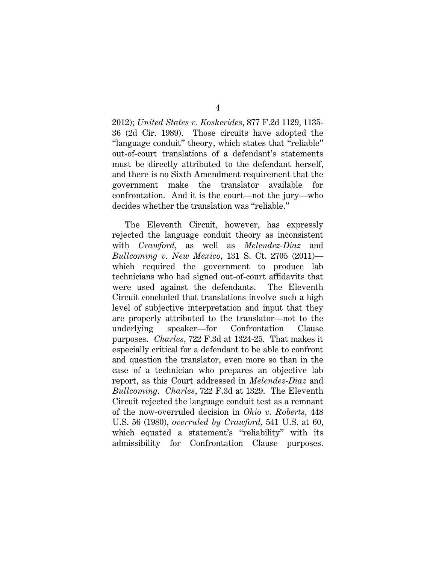2012); *United States v. Koskerides*, 877 F.2d 1129, 1135- 36 (2d Cir. 1989). Those circuits have adopted the "language conduit" theory, which states that "reliable" out-of-court translations of a defendant's statements must be directly attributed to the defendant herself, and there is no Sixth Amendment requirement that the government make the translator available for confrontation. And it is the court—not the jury—who decides whether the translation was "reliable."

The Eleventh Circuit, however, has expressly rejected the language conduit theory as inconsistent with *Crawford*, as well as *Melendez-Diaz* and *Bullcoming v. New Mexico*, 131 S. Ct. 2705 (2011) which required the government to produce lab technicians who had signed out-of-court affidavits that were used against the defendants. The Eleventh Circuit concluded that translations involve such a high level of subjective interpretation and input that they are properly attributed to the translator—not to the underlying speaker—for Confrontation Clause purposes. *Charles*, 722 F.3d at 1324-25. That makes it especially critical for a defendant to be able to confront and question the translator, even more so than in the case of a technician who prepares an objective lab report, as this Court addressed in *Melendez-Diaz* and *Bullcoming*. *Charles*, 722 F.3d at 1329. The Eleventh Circuit rejected the language conduit test as a remnant of the now-overruled decision in *Ohio v. Roberts*, 448 U.S. 56 (1980), *overruled by Crawford*, 541 U.S. at 60, which equated a statement's "reliability" with its admissibility for Confrontation Clause purposes.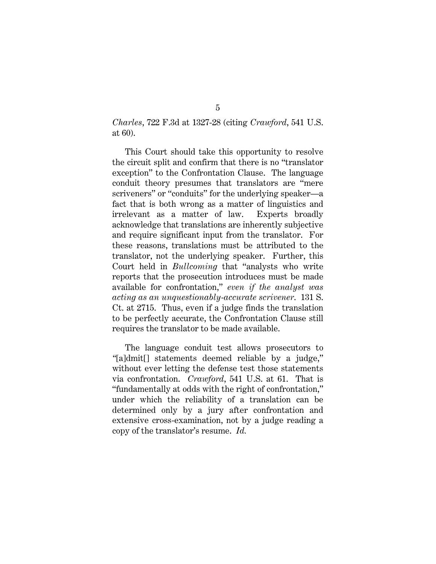*Charles*, 722 F.3d at 1327-28 (citing *Crawford*, 541 U.S. at 60).

This Court should take this opportunity to resolve the circuit split and confirm that there is no "translator exception" to the Confrontation Clause. The language conduit theory presumes that translators are "mere scriveners" or "conduits" for the underlying speaker—a fact that is both wrong as a matter of linguistics and irrelevant as a matter of law. Experts broadly acknowledge that translations are inherently subjective and require significant input from the translator. For these reasons, translations must be attributed to the translator, not the underlying speaker. Further, this Court held in *Bullcoming* that "analysts who write reports that the prosecution introduces must be made available for confrontation," *even if the analyst was acting as an unquestionably-accurate scrivener*. 131 S. Ct. at 2715. Thus, even if a judge finds the translation to be perfectly accurate, the Confrontation Clause still requires the translator to be made available.

The language conduit test allows prosecutors to *"*[a]dmit[] statements deemed reliable by a judge," without ever letting the defense test those statements via confrontation. *Crawford*, 541 U.S. at 61. That is "fundamentally at odds with the right of confrontation," under which the reliability of a translation can be determined only by a jury after confrontation and extensive cross-examination, not by a judge reading a copy of the translator's resume. *Id.*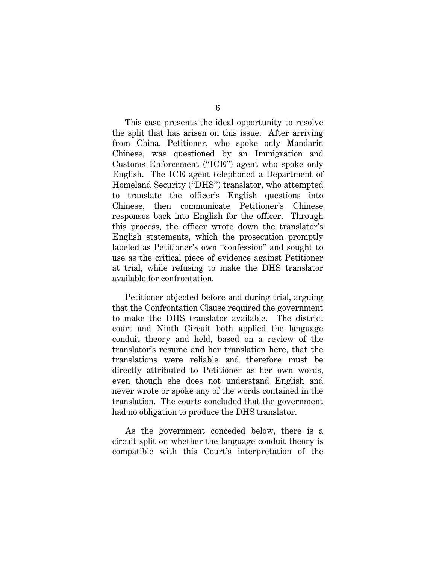This case presents the ideal opportunity to resolve the split that has arisen on this issue. After arriving from China, Petitioner, who spoke only Mandarin Chinese, was questioned by an Immigration and Customs Enforcement ("ICE") agent who spoke only English. The ICE agent telephoned a Department of Homeland Security ("DHS") translator, who attempted to translate the officer's English questions into Chinese, then communicate Petitioner's Chinese responses back into English for the officer. Through this process, the officer wrote down the translator's English statements, which the prosecution promptly labeled as Petitioner's own "confession" and sought to use as the critical piece of evidence against Petitioner at trial, while refusing to make the DHS translator available for confrontation.

Petitioner objected before and during trial, arguing that the Confrontation Clause required the government to make the DHS translator available. The district court and Ninth Circuit both applied the language conduit theory and held, based on a review of the translator's resume and her translation here, that the translations were reliable and therefore must be directly attributed to Petitioner as her own words, even though she does not understand English and never wrote or spoke any of the words contained in the translation. The courts concluded that the government had no obligation to produce the DHS translator.

As the government conceded below, there is a circuit split on whether the language conduit theory is compatible with this Court's interpretation of the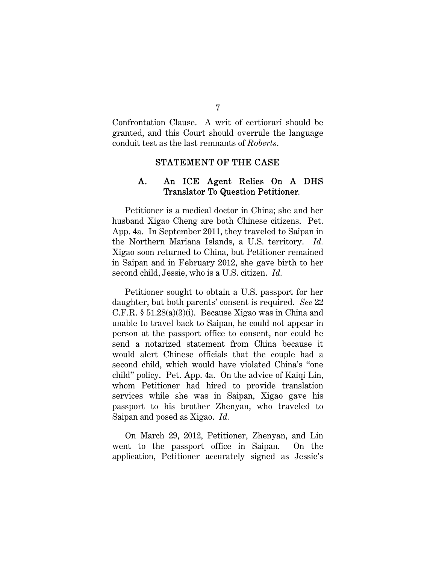Confrontation Clause. A writ of certiorari should be granted, and this Court should overrule the language conduit test as the last remnants of *Roberts*.

#### STATEMENT OF THE CASE

## A. An ICE Agent Relies On A DHS Translator To Question Petitioner.

Petitioner is a medical doctor in China; she and her husband Xigao Cheng are both Chinese citizens. Pet. App. 4a. In September 2011, they traveled to Saipan in the Northern Mariana Islands, a U.S. territory. *Id.* Xigao soon returned to China, but Petitioner remained in Saipan and in February 2012, she gave birth to her second child, Jessie, who is a U.S. citizen. *Id.*

Petitioner sought to obtain a U.S. passport for her daughter, but both parents' consent is required. *See* 22 C.F.R. § 51.28(a)(3)(i). Because Xigao was in China and unable to travel back to Saipan, he could not appear in person at the passport office to consent, nor could he send a notarized statement from China because it would alert Chinese officials that the couple had a second child, which would have violated China's "one child" policy. Pet. App. 4a. On the advice of Kaiqi Lin, whom Petitioner had hired to provide translation services while she was in Saipan, Xigao gave his passport to his brother Zhenyan, who traveled to Saipan and posed as Xigao. *Id.*

On March 29, 2012, Petitioner, Zhenyan, and Lin went to the passport office in Saipan. On the application, Petitioner accurately signed as Jessie's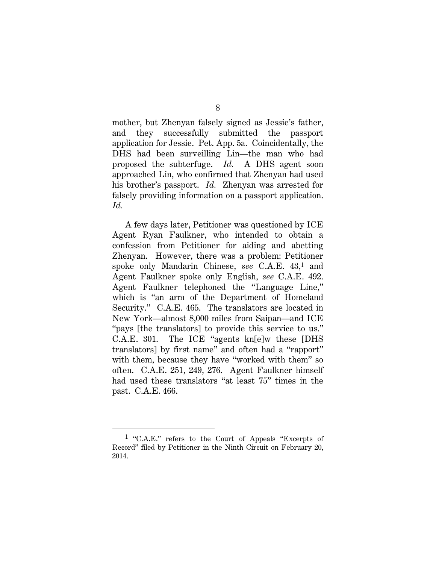mother, but Zhenyan falsely signed as Jessie's father, and they successfully submitted the passport application for Jessie. Pet. App. 5a. Coincidentally, the DHS had been surveilling Lin—the man who had proposed the subterfuge. *Id.* A DHS agent soon approached Lin, who confirmed that Zhenyan had used his brother's passport. *Id.* Zhenyan was arrested for falsely providing information on a passport application. *Id.*

A few days later, Petitioner was questioned by ICE Agent Ryan Faulkner, who intended to obtain a confession from Petitioner for aiding and abetting Zhenyan. However, there was a problem: Petitioner spoke only Mandarin Chinese, *see* C.A.E. 43,1 and Agent Faulkner spoke only English, *see* C.A.E. 492. Agent Faulkner telephoned the "Language Line," which is "an arm of the Department of Homeland Security." C.A.E. 465. The translators are located in New York—almost 8,000 miles from Saipan—and ICE "pays [the translators] to provide this service to us." C.A.E. 301. The ICE "agents kn[e]w these [DHS translators] by first name" and often had a "rapport" with them, because they have "worked with them" so often. C.A.E. 251, 249, 276. Agent Faulkner himself had used these translators "at least 75" times in the past. C.A.E. 466.

l

<sup>1 &</sup>quot;C.A.E." refers to the Court of Appeals "Excerpts of Record" filed by Petitioner in the Ninth Circuit on February 20, 2014.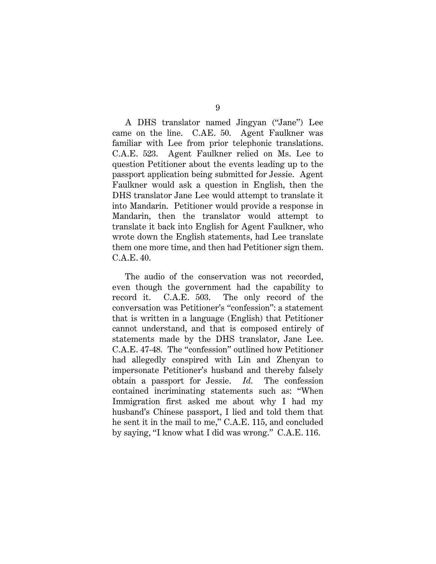A DHS translator named Jingyan ("Jane") Lee came on the line. C.AE. 50. Agent Faulkner was familiar with Lee from prior telephonic translations. C.A.E. 523. Agent Faulkner relied on Ms. Lee to question Petitioner about the events leading up to the passport application being submitted for Jessie. Agent Faulkner would ask a question in English, then the DHS translator Jane Lee would attempt to translate it into Mandarin. Petitioner would provide a response in Mandarin, then the translator would attempt to translate it back into English for Agent Faulkner, who wrote down the English statements, had Lee translate them one more time, and then had Petitioner sign them. C.A.E. 40.

The audio of the conservation was not recorded, even though the government had the capability to record it. C.A.E. 503. The only record of the conversation was Petitioner's "confession": a statement that is written in a language (English) that Petitioner cannot understand, and that is composed entirely of statements made by the DHS translator, Jane Lee. C.A.E. 47-48. The "confession" outlined how Petitioner had allegedly conspired with Lin and Zhenyan to impersonate Petitioner's husband and thereby falsely obtain a passport for Jessie. *Id.* The confession contained incriminating statements such as: "When Immigration first asked me about why I had my husband's Chinese passport, I lied and told them that he sent it in the mail to me," C.A.E. 115, and concluded by saying, "I know what I did was wrong." C.A.E. 116.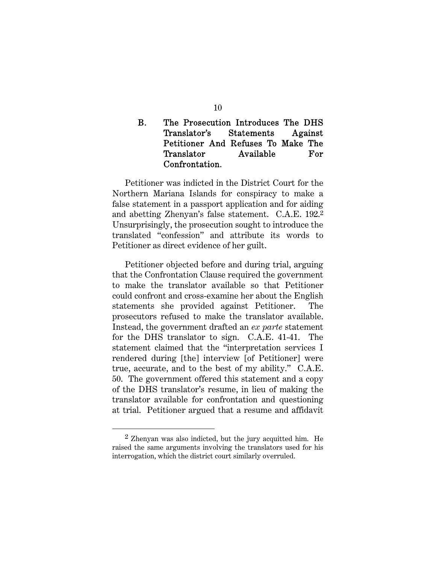## B. The Prosecution Introduces The DHS Translator's Statements Against Petitioner And Refuses To Make The Translator Available For Confrontation.

Petitioner was indicted in the District Court for the Northern Mariana Islands for conspiracy to make a false statement in a passport application and for aiding and abetting Zhenyan's false statement. C.A.E. 192.2 Unsurprisingly, the prosecution sought to introduce the translated "confession" and attribute its words to Petitioner as direct evidence of her guilt.

Petitioner objected before and during trial, arguing that the Confrontation Clause required the government to make the translator available so that Petitioner could confront and cross-examine her about the English statements she provided against Petitioner. The prosecutors refused to make the translator available. Instead, the government drafted an *ex parte* statement for the DHS translator to sign. C.A.E. 41-41. The statement claimed that the "interpretation services I rendered during [the] interview [of Petitioner] were true, accurate, and to the best of my ability." C.A.E. 50. The government offered this statement and a copy of the DHS translator's resume, in lieu of making the translator available for confrontation and questioning at trial. Petitioner argued that a resume and affidavit

l

 $2$  Zhenyan was also indicted, but the jury acquitted him. He raised the same arguments involving the translators used for his interrogation, which the district court similarly overruled.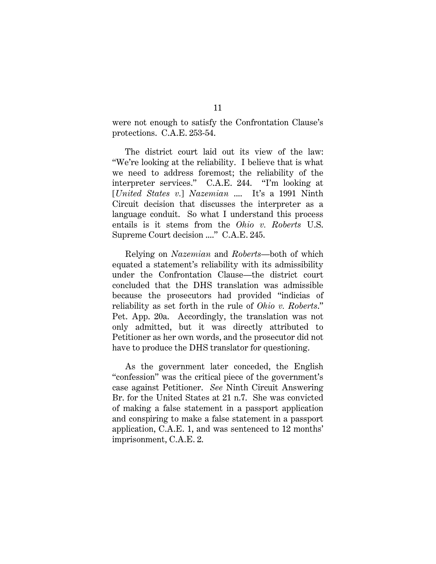were not enough to satisfy the Confrontation Clause's protections. C.A.E. 253-54.

The district court laid out its view of the law: "We're looking at the reliability. I believe that is what we need to address foremost; the reliability of the interpreter services." C.A.E. 244. "I'm looking at [*United States v.*] *Nazemian* .... It's a 1991 Ninth Circuit decision that discusses the interpreter as a language conduit. So what I understand this process entails is it stems from the *Ohio v. Roberts* U.S. Supreme Court decision ...." C.A.E. 245.

Relying on *Nazemian* and *Roberts*—both of which equated a statement's reliability with its admissibility under the Confrontation Clause—the district court concluded that the DHS translation was admissible because the prosecutors had provided "indicias of reliability as set forth in the rule of *Ohio v. Roberts*." Pet. App. 20a. Accordingly, the translation was not only admitted, but it was directly attributed to Petitioner as her own words, and the prosecutor did not have to produce the DHS translator for questioning.

As the government later conceded, the English "confession" was the critical piece of the government's case against Petitioner. *See* Ninth Circuit Answering Br. for the United States at 21 n.7. She was convicted of making a false statement in a passport application and conspiring to make a false statement in a passport application, C.A.E. 1, and was sentenced to 12 months' imprisonment, C.A.E. 2.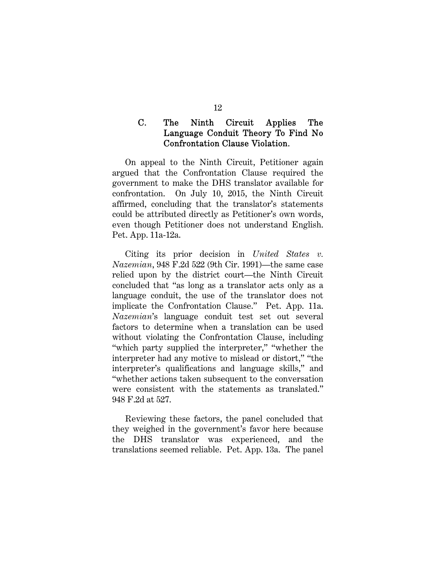### C. The Ninth Circuit Applies The Language Conduit Theory To Find No Confrontation Clause Violation.

On appeal to the Ninth Circuit, Petitioner again argued that the Confrontation Clause required the government to make the DHS translator available for confrontation. On July 10, 2015, the Ninth Circuit affirmed, concluding that the translator's statements could be attributed directly as Petitioner's own words, even though Petitioner does not understand English. Pet. App. 11a-12a.

Citing its prior decision in *United States v. Nazemian*, 948 F.2d 522 (9th Cir. 1991)—the same case relied upon by the district court—the Ninth Circuit concluded that "as long as a translator acts only as a language conduit, the use of the translator does not implicate the Confrontation Clause." Pet. App. 11a. *Nazemian*'s language conduit test set out several factors to determine when a translation can be used without violating the Confrontation Clause, including "which party supplied the interpreter," "whether the interpreter had any motive to mislead or distort," "the interpreter's qualifications and language skills," and "whether actions taken subsequent to the conversation were consistent with the statements as translated." 948 F.2d at 527.

Reviewing these factors, the panel concluded that they weighed in the government's favor here because the DHS translator was experienced, and the translations seemed reliable. Pet. App. 13a. The panel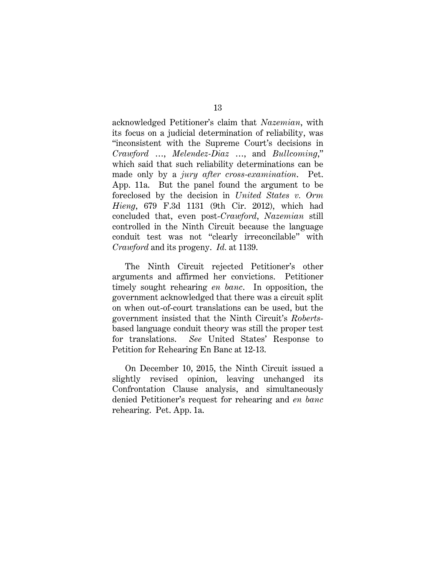acknowledged Petitioner's claim that *Nazemian*, with its focus on a judicial determination of reliability, was "inconsistent with the Supreme Court's decisions in *Crawford* …, *Melendez-Diaz* …, and *Bullcoming*," which said that such reliability determinations can be made only by a *jury after cross-examination*. Pet. App. 11a. But the panel found the argument to be foreclosed by the decision in *United States v. Orm Hieng*, 679 F.3d 1131 (9th Cir. 2012), which had concluded that, even post-*Crawford*, *Nazemian* still controlled in the Ninth Circuit because the language conduit test was not "clearly irreconcilable" with *Crawford* and its progeny. *Id.* at 1139.

The Ninth Circuit rejected Petitioner's other arguments and affirmed her convictions. Petitioner timely sought rehearing *en banc*. In opposition, the government acknowledged that there was a circuit split on when out-of-court translations can be used, but the government insisted that the Ninth Circuit's *Roberts*based language conduit theory was still the proper test for translations. *See* United States' Response to Petition for Rehearing En Banc at 12-13.

On December 10, 2015, the Ninth Circuit issued a slightly revised opinion, leaving unchanged its Confrontation Clause analysis, and simultaneously denied Petitioner's request for rehearing and *en banc* rehearing. Pet. App. 1a.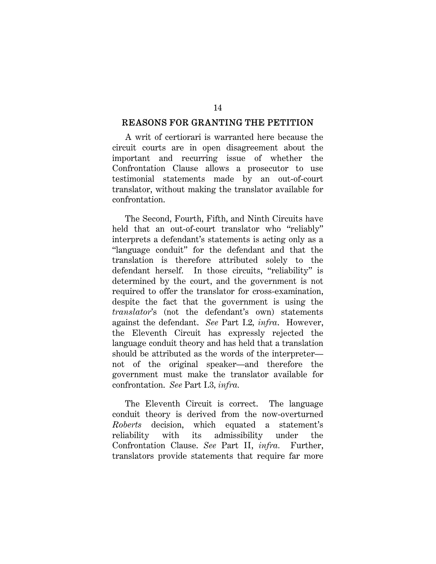#### REASONS FOR GRANTING THE PETITION

A writ of certiorari is warranted here because the circuit courts are in open disagreement about the important and recurring issue of whether the Confrontation Clause allows a prosecutor to use testimonial statements made by an out-of-court translator, without making the translator available for confrontation.

The Second, Fourth, Fifth, and Ninth Circuits have held that an out-of-court translator who "reliably" interprets a defendant's statements is acting only as a "language conduit" for the defendant and that the translation is therefore attributed solely to the defendant herself. In those circuits, "reliability" is determined by the court, and the government is not required to offer the translator for cross-examination, despite the fact that the government is using the *translator*'s (not the defendant's own) statements against the defendant. *See* Part I.2*, infra*. However, the Eleventh Circuit has expressly rejected the language conduit theory and has held that a translation should be attributed as the words of the interpreter not of the original speaker—and therefore the government must make the translator available for confrontation. *See* Part I.3*, infra.*

The Eleventh Circuit is correct. The language conduit theory is derived from the now-overturned *Roberts* decision, which equated a statement's reliability with its admissibility under the Confrontation Clause. *See* Part II, *infra.* Further, translators provide statements that require far more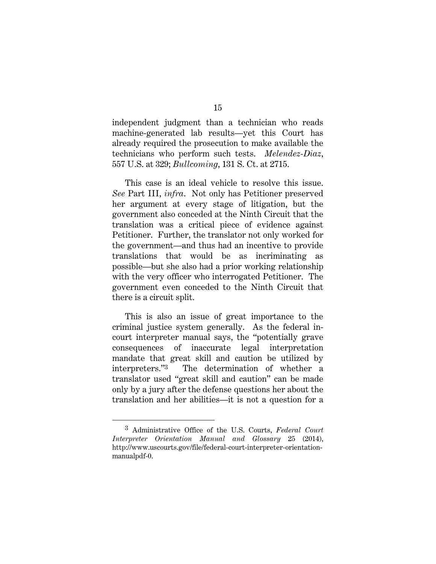independent judgment than a technician who reads machine-generated lab results—yet this Court has already required the prosecution to make available the technicians who perform such tests. *Melendez-Diaz*, 557 U.S. at 329; *Bullcoming*, 131 S. Ct. at 2715.

This case is an ideal vehicle to resolve this issue. *See* Part III, *infra*. Not only has Petitioner preserved her argument at every stage of litigation, but the government also conceded at the Ninth Circuit that the translation was a critical piece of evidence against Petitioner. Further, the translator not only worked for the government—and thus had an incentive to provide translations that would be as incriminating as possible—but she also had a prior working relationship with the very officer who interrogated Petitioner. The government even conceded to the Ninth Circuit that there is a circuit split.

This is also an issue of great importance to the criminal justice system generally. As the federal incourt interpreter manual says, the "potentially grave consequences of inaccurate legal interpretation mandate that great skill and caution be utilized by interpreters."3 The determination of whether a translator used "great skill and caution" can be made only by a jury after the defense questions her about the translation and her abilities—it is not a question for a

l

<sup>3</sup> Administrative Office of the U.S. Courts, *Federal Court Interpreter Orientation Manual and Glossary* 25 (2014), http://www.uscourts.gov/file/federal-court-interpreter-orientationmanualpdf-0.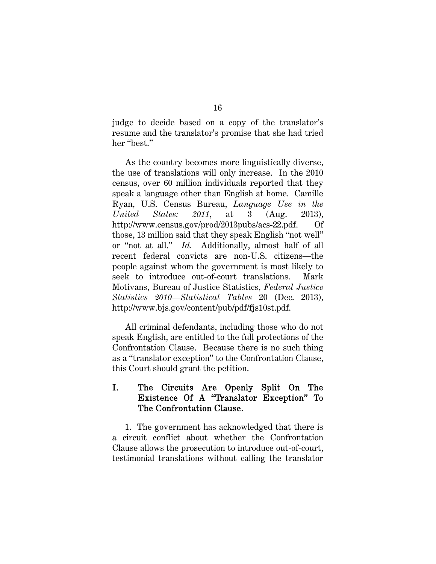judge to decide based on a copy of the translator's resume and the translator's promise that she had tried her "best."

As the country becomes more linguistically diverse, the use of translations will only increase. In the 2010 census, over 60 million individuals reported that they speak a language other than English at home. Camille Ryan, U.S. Census Bureau, *Language Use in the United States: 2011*, at 3 (Aug. 2013), http://www.census.gov/prod/2013pubs/acs-22.pdf. Of those, 13 million said that they speak English "not well" or "not at all." *Id.* Additionally, almost half of all recent federal convicts are non-U.S. citizens—the people against whom the government is most likely to seek to introduce out-of-court translations. Mark Motivans, Bureau of Justice Statistics, *Federal Justice Statistics 2010—Statistical Tables* 20 (Dec. 2013), http://www.bjs.gov/content/pub/pdf/fjs10st.pdf.

All criminal defendants, including those who do not speak English, are entitled to the full protections of the Confrontation Clause. Because there is no such thing as a "translator exception" to the Confrontation Clause, this Court should grant the petition.

## I. The Circuits Are Openly Split On The Existence Of A "Translator Exception" To The Confrontation Clause.

1. The government has acknowledged that there is a circuit conflict about whether the Confrontation Clause allows the prosecution to introduce out-of-court, testimonial translations without calling the translator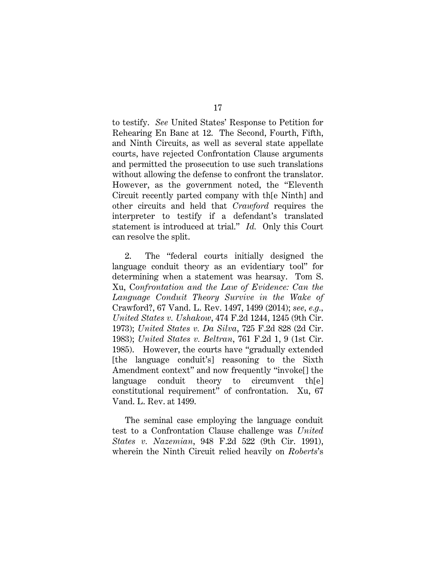to testify. *See* United States' Response to Petition for Rehearing En Banc at 12. The Second, Fourth, Fifth, and Ninth Circuits, as well as several state appellate courts, have rejected Confrontation Clause arguments and permitted the prosecution to use such translations without allowing the defense to confront the translator. However, as the government noted, the "Eleventh Circuit recently parted company with th[e Ninth] and other circuits and held that *Crawford* requires the interpreter to testify if a defendant's translated statement is introduced at trial." *Id.* Only this Court can resolve the split.

2. The "federal courts initially designed the language conduit theory as an evidentiary tool" for determining when a statement was hearsay. Tom S. Xu, C*onfrontation and the Law of Evidence: Can the Language Conduit Theory Survive in the Wake of* Crawford?, 67 Vand. L. Rev. 1497, 1499 (2014); *see, e.g., United States v. Ushakow*, 474 F.2d 1244, 1245 (9th Cir. 1973); *United States v. Da Silva*, 725 F.2d 828 (2d Cir. 1983); *United States v. Beltran*, 761 F.2d 1, 9 (1st Cir. 1985). However, the courts have "gradually extended [the language conduit's] reasoning to the Sixth Amendment context" and now frequently "invoke[] the language conduit theory to circumvent th[e] constitutional requirement" of confrontation. Xu, 67 Vand. L. Rev. at 1499.

The seminal case employing the language conduit test to a Confrontation Clause challenge was *United States v. Nazemian*, 948 F.2d 522 (9th Cir. 1991), wherein the Ninth Circuit relied heavily on *Roberts*'s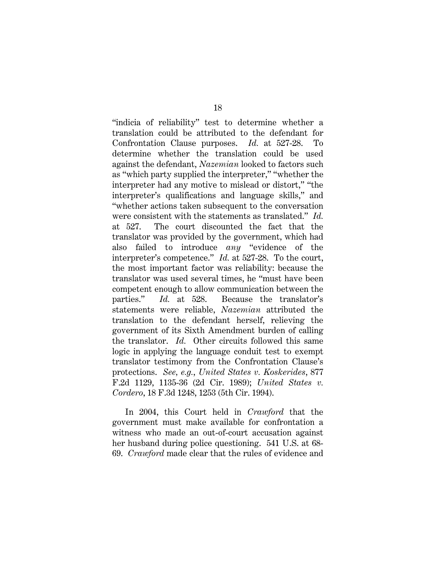"indicia of reliability" test to determine whether a translation could be attributed to the defendant for Confrontation Clause purposes. *Id.* at 527-28. To determine whether the translation could be used against the defendant, *Nazemian* looked to factors such as "which party supplied the interpreter," "whether the interpreter had any motive to mislead or distort," "the interpreter's qualifications and language skills," and "whether actions taken subsequent to the conversation were consistent with the statements as translated." *Id.* at 527. The court discounted the fact that the translator was provided by the government, which had also failed to introduce *any* "evidence of the interpreter's competence." *Id.* at 527-28. To the court, the most important factor was reliability: because the translator was used several times, he "must have been competent enough to allow communication between the parties." *Id.* at 528. Because the translator's statements were reliable, *Nazemian* attributed the translation to the defendant herself, relieving the government of its Sixth Amendment burden of calling the translator. *Id.* Other circuits followed this same logic in applying the language conduit test to exempt translator testimony from the Confrontation Clause's protections. *See, e.g.*, *United States v. Koskerides*, 877 F.2d 1129, 1135-36 (2d Cir. 1989); *United States v. Cordero*, 18 F.3d 1248, 1253 (5th Cir. 1994).

In 2004, this Court held in *Crawford* that the government must make available for confrontation a witness who made an out-of-court accusation against her husband during police questioning. 541 U.S. at 68- 69. *Crawford* made clear that the rules of evidence and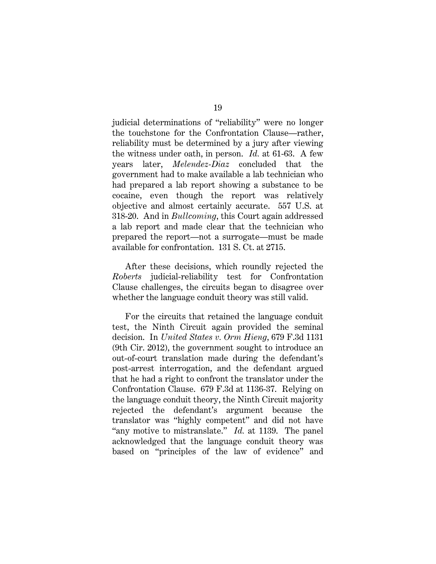judicial determinations of "reliability" were no longer the touchstone for the Confrontation Clause—rather, reliability must be determined by a jury after viewing the witness under oath, in person. *Id.* at 61-63. A few years later, *Melendez-Diaz* concluded that the government had to make available a lab technician who had prepared a lab report showing a substance to be cocaine, even though the report was relatively objective and almost certainly accurate. 557 U.S. at 318-20. And in *Bullcoming*, this Court again addressed a lab report and made clear that the technician who prepared the report—not a surrogate—must be made available for confrontation. 131 S. Ct. at 2715.

After these decisions, which roundly rejected the *Roberts* judicial-reliability test for Confrontation Clause challenges, the circuits began to disagree over whether the language conduit theory was still valid.

For the circuits that retained the language conduit test, the Ninth Circuit again provided the seminal decision. In *United States v. Orm Hieng*, 679 F.3d 1131 (9th Cir. 2012), the government sought to introduce an out-of-court translation made during the defendant's post-arrest interrogation, and the defendant argued that he had a right to confront the translator under the Confrontation Clause. 679 F.3d at 1136-37. Relying on the language conduit theory, the Ninth Circuit majority rejected the defendant's argument because the translator was "highly competent" and did not have "any motive to mistranslate." *Id.* at 1139. The panel acknowledged that the language conduit theory was based on "principles of the law of evidence" and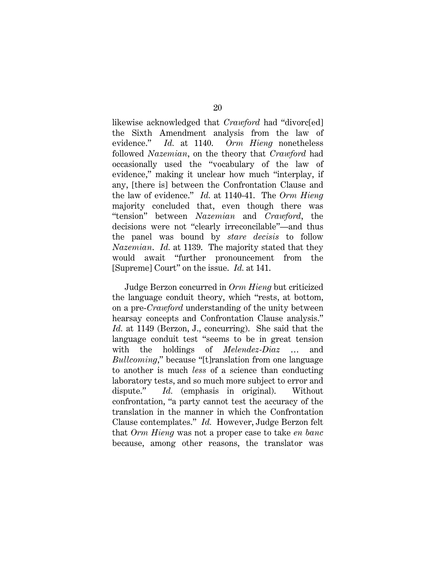likewise acknowledged that *Crawford* had "divorc[ed] the Sixth Amendment analysis from the law of evidence." *Id.* at 1140. *Orm Hieng* nonetheless followed *Nazemian*, on the theory that *Crawford* had occasionally used the "vocabulary of the law of evidence," making it unclear how much "interplay, if any, [there is] between the Confrontation Clause and the law of evidence." *Id.* at 1140-41. The *Orm Hieng* majority concluded that, even though there was "tension" between *Nazemian* and *Crawford*, the decisions were not "clearly irreconcilable"—and thus the panel was bound by *stare decisis* to follow *Nazemian*. *Id.* at 1139. The majority stated that they would await "further pronouncement from the [Supreme] Court" on the issue. *Id.* at 141.

Judge Berzon concurred in *Orm Hieng* but criticized the language conduit theory, which "rests, at bottom, on a pre-*Crawford* understanding of the unity between hearsay concepts and Confrontation Clause analysis." *Id.* at 1149 (Berzon, J., concurring). She said that the language conduit test "seems to be in great tension with the holdings of *Melendez-Diaz* … and *Bullcoming*," because "[t]ranslation from one language to another is much *less* of a science than conducting laboratory tests, and so much more subject to error and dispute." *Id.* (emphasis in original). Without confrontation, "a party cannot test the accuracy of the translation in the manner in which the Confrontation Clause contemplates." *Id.* However, Judge Berzon felt that *Orm Hieng* was not a proper case to take *en banc* because, among other reasons, the translator was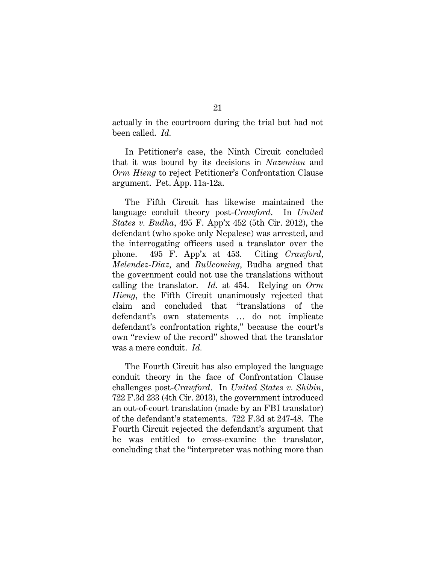actually in the courtroom during the trial but had not been called. *Id.*

In Petitioner's case, the Ninth Circuit concluded that it was bound by its decisions in *Nazemian* and *Orm Hieng* to reject Petitioner's Confrontation Clause argument. Pet. App. 11a-12a.

The Fifth Circuit has likewise maintained the language conduit theory post-*Crawford*. In *United States v. Budha*, 495 F. App'x 452 (5th Cir. 2012), the defendant (who spoke only Nepalese) was arrested, and the interrogating officers used a translator over the phone. 495 F. App'x at 453. Citing *Crawford*, *Melendez-Diaz*, and *Bullcoming*, Budha argued that the government could not use the translations without calling the translator. *Id.* at 454. Relying on *Orm Hieng*, the Fifth Circuit unanimously rejected that claim and concluded that "translations of the defendant's own statements … do not implicate defendant's confrontation rights," because the court's own "review of the record" showed that the translator was a mere conduit. *Id.*

The Fourth Circuit has also employed the language conduit theory in the face of Confrontation Clause challenges post-*Crawford*. In *United States v. Shibin*, 722 F.3d 233 (4th Cir. 2013), the government introduced an out-of-court translation (made by an FBI translator) of the defendant's statements. 722 F.3d at 247-48. The Fourth Circuit rejected the defendant's argument that he was entitled to cross-examine the translator, concluding that the "interpreter was nothing more than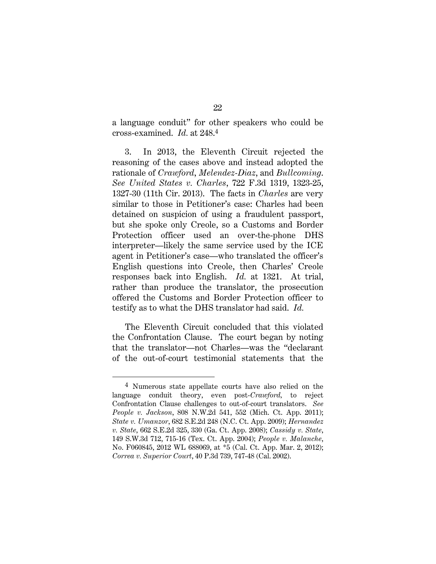a language conduit" for other speakers who could be cross-examined. *Id.* at 248.4

3. In 2013, the Eleventh Circuit rejected the reasoning of the cases above and instead adopted the rationale of *Crawford*, *Melendez-Diaz*, and *Bullcoming*. *See United States v. Charles*, 722 F.3d 1319, 1323-25, 1327-30 (11th Cir. 2013). The facts in *Charles* are very similar to those in Petitioner's case: Charles had been detained on suspicion of using a fraudulent passport, but she spoke only Creole, so a Customs and Border Protection officer used an over-the-phone DHS interpreter—likely the same service used by the ICE agent in Petitioner's case—who translated the officer's English questions into Creole, then Charles' Creole responses back into English. *Id.* at 1321. At trial, rather than produce the translator, the prosecution offered the Customs and Border Protection officer to testify as to what the DHS translator had said. *Id.*

The Eleventh Circuit concluded that this violated the Confrontation Clause. The court began by noting that the translator—not Charles—was the "declarant of the out-of-court testimonial statements that the

<sup>&</sup>lt;sup>4</sup> Numerous state appellate courts have also relied on the language conduit theory, even post-*Crawford,* to reject Confrontation Clause challenges to out-of-court translators. *See People v. Jackson*, 808 N.W.2d 541, 552 (Mich. Ct. App. 2011); *State v. Umanzor*, 682 S.E.2d 248 (N.C. Ct. App. 2009); *Hernandez v. State*, 662 S.E.2d 325, 330 (Ga. Ct. App. 2008); *Cassidy v. State*, 149 S.W.3d 712, 715-16 (Tex. Ct. App. 2004); *People v. Malanche*, No. F060845, 2012 WL 688069, at \*5 (Cal. Ct. App. Mar. 2, 2012); *Correa v. Superior Court*, 40 P.3d 739, 747-48 (Cal. 2002).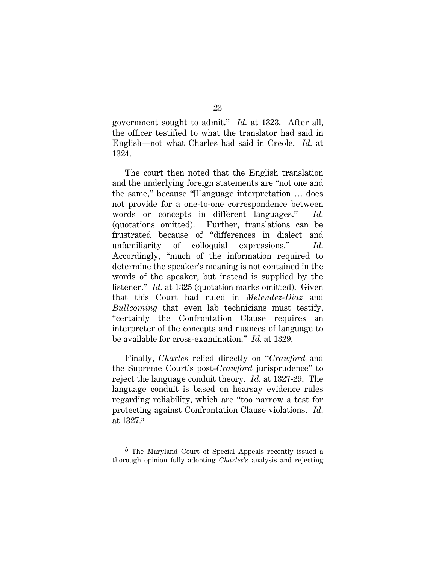government sought to admit." *Id.* at 1323. After all, the officer testified to what the translator had said in English—not what Charles had said in Creole. *Id.* at 1324.

The court then noted that the English translation and the underlying foreign statements are "not one and the same," because "[l]anguage interpretation … does not provide for a one-to-one correspondence between words or concepts in different languages." *Id.* (quotations omitted). Further, translations can be frustrated because of "differences in dialect and unfamiliarity of colloquial expressions." *Id.* Accordingly, "much of the information required to determine the speaker's meaning is not contained in the words of the speaker, but instead is supplied by the listener." *Id.* at 1325 (quotation marks omitted). Given that this Court had ruled in *Melendez-Diaz* and *Bullcoming* that even lab technicians must testify, "certainly the Confrontation Clause requires an interpreter of the concepts and nuances of language to be available for cross-examination." *Id.* at 1329.

Finally, *Charles* relied directly on "*Crawford* and the Supreme Court's post-*Crawford* jurisprudence" to reject the language conduit theory. *Id.* at 1327-29. The language conduit is based on hearsay evidence rules regarding reliability, which are "too narrow a test for protecting against Confrontation Clause violations. *Id.* at 1327.5

<sup>5</sup> The Maryland Court of Special Appeals recently issued a thorough opinion fully adopting *Charles*'s analysis and rejecting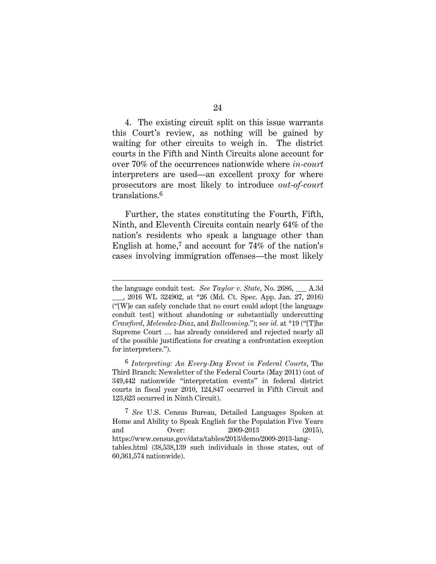4. The existing circuit split on this issue warrants this Court's review, as nothing will be gained by waiting for other circuits to weigh in. The district courts in the Fifth and Ninth Circuits alone account for over 70% of the occurrences nationwide where *in-court* interpreters are used—an excellent proxy for where prosecutors are most likely to introduce *out-of-court* translations.6

Further, the states constituting the Fourth, Fifth, Ninth, and Eleventh Circuits contain nearly 64% of the nation's residents who speak a language other than English at home,7 and account for 74% of the nation's cases involving immigration offenses—the most likely

6 *Interpreting: An Every-Day Event in Federal Courts*, The Third Branch: Newsletter of the Federal Courts (May 2011) (out of 349,442 nationwide "interpretation events" in federal district courts in fiscal year 2010, 124,847 occurred in Fifth Circuit and 123,623 occurred in Ninth Circuit).

the language conduit test. *See Taylor v. State*, No. 2686, \_\_\_ A.3d \_\_\_, 2016 WL 324902, at \*26 (Md. Ct. Spec. App. Jan. 27, 2016) ("[W]e can safely conclude that no court could adopt [the language conduit test] without abandoning or substantially undercutting *Crawford*, *Melendez-Diaz*, and *Bullcoming*."); *see id.* at \*19 ("[T]he Supreme Court … has already considered and rejected nearly all of the possible justifications for creating a confrontation exception for interpreters.").

<sup>7</sup> *See* U.S. Census Bureau, Detailed Languages Spoken at Home and Ability to Speak English for the Population Five Years and Over: 2009-2013 (2015), https://www.census.gov/data/tables/2013/demo/2009-2013-langtables.html (38,538,139 such individuals in those states, out of 60,361,574 nationwide).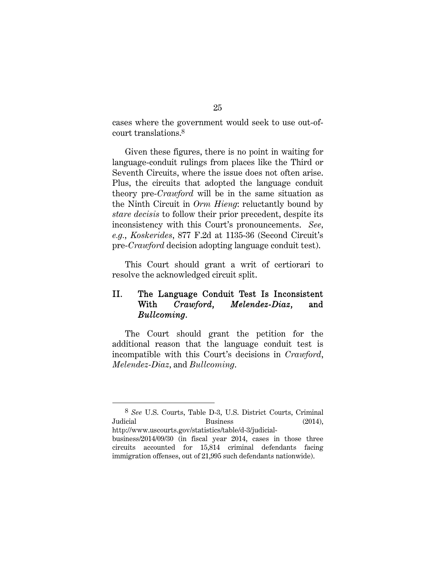cases where the government would seek to use out-ofcourt translations.8

Given these figures, there is no point in waiting for language-conduit rulings from places like the Third or Seventh Circuits, where the issue does not often arise. Plus, the circuits that adopted the language conduit theory pre-*Crawford* will be in the same situation as the Ninth Circuit in *Orm Hieng*: reluctantly bound by *stare decisis* to follow their prior precedent, despite its inconsistency with this Court's pronouncements. *See, e.g.*, *Koskerides*, 877 F.2d at 1135-36 (Second Circuit's pre-*Crawford* decision adopting language conduit test).

This Court should grant a writ of certiorari to resolve the acknowledged circuit split.

## II. The Language Conduit Test Is Inconsistent With *Crawford*, *Melendez-Diaz*, and *Bullcoming*.

The Court should grant the petition for the additional reason that the language conduit test is incompatible with this Court's decisions in *Crawford*, *Melendez-Diaz*, and *Bullcoming*.

l

<sup>8</sup> *See* U.S. Courts, Table D-3, U.S. District Courts, Criminal Judicial Business (2014), http://www.uscourts.gov/statistics/table/d-3/judicial-

business/2014/09/30 (in fiscal year 2014, cases in those three circuits accounted for 15,814 criminal defendants facing immigration offenses, out of 21,995 such defendants nationwide).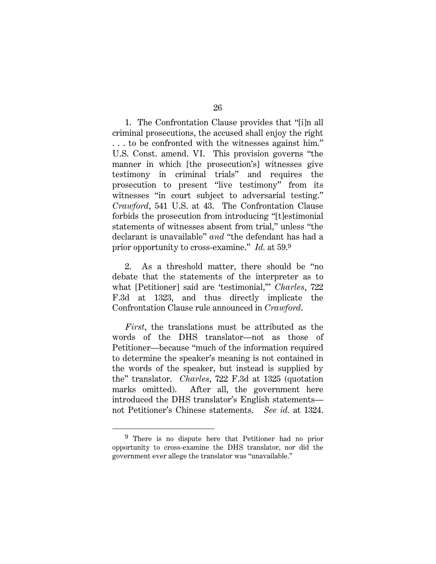1. The Confrontation Clause provides that "[i]n all criminal prosecutions, the accused shall enjoy the right . . . to be confronted with the witnesses against him." U.S. Const. amend. VI. This provision governs "the manner in which [the prosecution's] witnesses give testimony in criminal trials" and requires the prosecution to present "live testimony" from its witnesses "in court subject to adversarial testing." *Crawford*, 541 U.S. at 43. The Confrontation Clause forbids the prosecution from introducing "[t]estimonial statements of witnesses absent from trial," unless "the declarant is unavailable" *and* "the defendant has had a prior opportunity to cross-examine." *Id.* at 59.9

2. As a threshold matter, there should be "no debate that the statements of the interpreter as to what [Petitioner] said are 'testimonial,'" *Charles*, 722 F.3d at 1323, and thus directly implicate the Confrontation Clause rule announced in *Crawford*.

*First*, the translations must be attributed as the words of the DHS translator—not as those of Petitioner—because "much of the information required to determine the speaker's meaning is not contained in the words of the speaker, but instead is supplied by the" translator. *Charles*, 722 F.3d at 1325 (quotation marks omitted). After all, the government here introduced the DHS translator's English statements not Petitioner's Chinese statements. *See id.* at 1324.

l

<sup>9</sup> There is no dispute here that Petitioner had no prior opportunity to cross-examine the DHS translator, nor did the government ever allege the translator was "unavailable."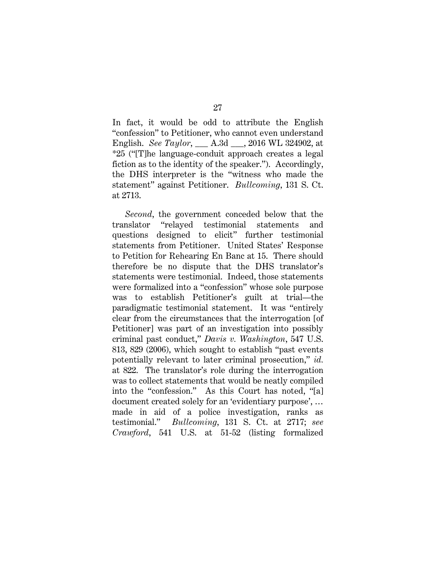In fact, it would be odd to attribute the English "confession" to Petitioner, who cannot even understand English. *See Taylor*, \_\_\_ A.3d \_\_\_, 2016 WL 324902, at \*25 ("[T]he language-conduit approach creates a legal fiction as to the identity of the speaker."). Accordingly, the DHS interpreter is the "witness who made the statement" against Petitioner. *Bullcoming*, 131 S. Ct. at 2713.

*Second*, the government conceded below that the translator "relayed testimonial statements and questions designed to elicit" further testimonial statements from Petitioner. United States' Response to Petition for Rehearing En Banc at 15. There should therefore be no dispute that the DHS translator's statements were testimonial. Indeed, those statements were formalized into a "confession" whose sole purpose was to establish Petitioner's guilt at trial—the paradigmatic testimonial statement. It was "entirely clear from the circumstances that the interrogation [of Petitioner] was part of an investigation into possibly criminal past conduct," *Davis v. Washington*, 547 U.S. 813, 829 (2006), which sought to establish "past events potentially relevant to later criminal prosecution," *id.* at 822. The translator's role during the interrogation was to collect statements that would be neatly compiled into the "confession." As this Court has noted, "[a] document created solely for an 'evidentiary purpose', … made in aid of a police investigation, ranks as testimonial." *Bullcoming*, 131 S. Ct. at 2717; *see Crawford*, 541 U.S. at 51-52 (listing formalized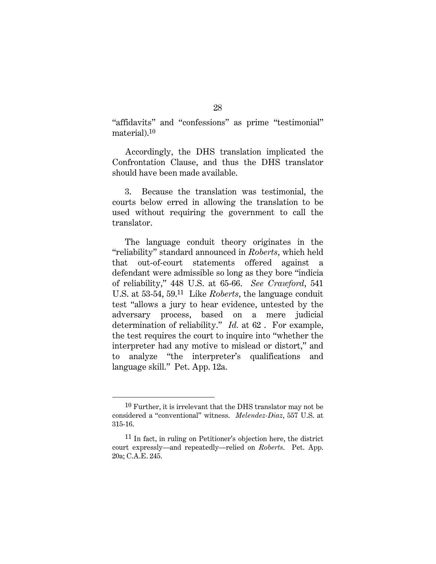"affidavits" and "confessions" as prime "testimonial" material).10

Accordingly, the DHS translation implicated the Confrontation Clause, and thus the DHS translator should have been made available.

3. Because the translation was testimonial, the courts below erred in allowing the translation to be used without requiring the government to call the translator.

The language conduit theory originates in the "reliability" standard announced in *Roberts*, which held that out-of-court statements offered against a defendant were admissible so long as they bore "indicia of reliability," 448 U.S. at 65-66. *See Crawford*, 541 U.S. at 53-54, 59.11 Like *Roberts*, the language conduit test "allows a jury to hear evidence, untested by the adversary process, based on a mere judicial determination of reliability." *Id.* at 62 . For example, the test requires the court to inquire into "whether the interpreter had any motive to mislead or distort," and to analyze "the interpreter's qualifications and language skill." Pet. App. 12a.

l

<sup>10</sup> Further, it is irrelevant that the DHS translator may not be considered a "conventional" witness. *Melendez-Diaz*, 557 U.S. at 315-16.

<sup>11</sup> In fact, in ruling on Petitioner's objection here, the district court expressly—and repeatedly—relied on *Roberts*. Pet. App. 20a; C.A.E. 245.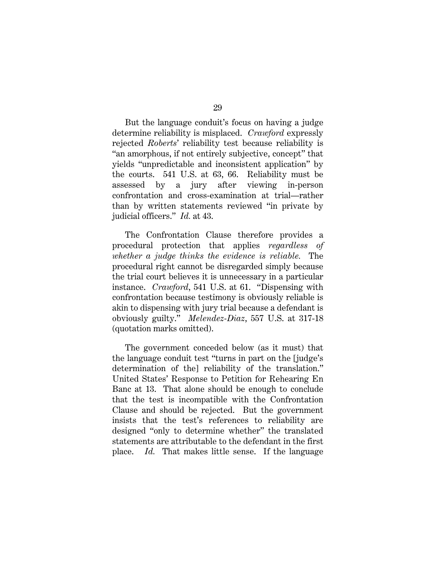But the language conduit's focus on having a judge determine reliability is misplaced. *Crawford* expressly rejected *Roberts*' reliability test because reliability is "an amorphous, if not entirely subjective, concept" that yields "unpredictable and inconsistent application" by the courts. 541 U.S. at 63, 66. Reliability must be assessed by a jury after viewing in-person confrontation and cross-examination at trial—rather than by written statements reviewed "in private by judicial officers." *Id.* at 43.

The Confrontation Clause therefore provides a procedural protection that applies *regardless of whether a judge thinks the evidence is reliable.* The procedural right cannot be disregarded simply because the trial court believes it is unnecessary in a particular instance. *Crawford*, 541 U.S. at 61. "Dispensing with confrontation because testimony is obviously reliable is akin to dispensing with jury trial because a defendant is obviously guilty." *Melendez-Diaz*, 557 U.S. at 317-18 (quotation marks omitted).

The government conceded below (as it must) that the language conduit test "turns in part on the [judge's determination of the] reliability of the translation." United States' Response to Petition for Rehearing En Banc at 13. That alone should be enough to conclude that the test is incompatible with the Confrontation Clause and should be rejected. But the government insists that the test's references to reliability are designed "only to determine whether" the translated statements are attributable to the defendant in the first place. *Id.* That makes little sense. If the language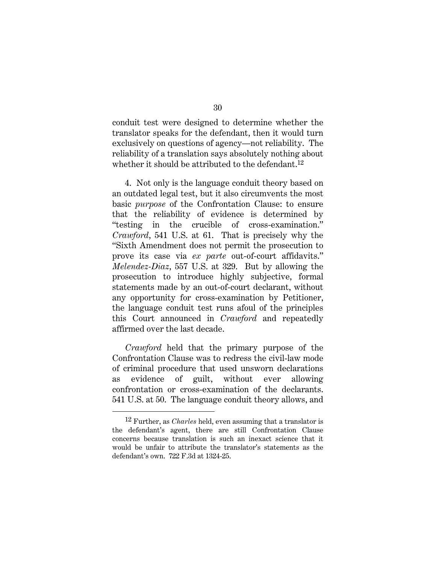conduit test were designed to determine whether the translator speaks for the defendant, then it would turn exclusively on questions of agency—not reliability. The reliability of a translation says absolutely nothing about whether it should be attributed to the defendant.<sup>12</sup>

4. Not only is the language conduit theory based on an outdated legal test, but it also circumvents the most basic *purpose* of the Confrontation Clause: to ensure that the reliability of evidence is determined by "testing in the crucible of cross-examination." *Crawford*, 541 U.S. at 61. That is precisely why the "Sixth Amendment does not permit the prosecution to prove its case via *ex parte* out-of-court affidavits." *Melendez-Diaz*, 557 U.S. at 329. But by allowing the prosecution to introduce highly subjective, formal statements made by an out-of-court declarant, without any opportunity for cross-examination by Petitioner, the language conduit test runs afoul of the principles this Court announced in *Crawford* and repeatedly affirmed over the last decade.

*Crawford* held that the primary purpose of the Confrontation Clause was to redress the civil-law mode of criminal procedure that used unsworn declarations as evidence of guilt, without ever allowing confrontation or cross-examination of the declarants. 541 U.S. at 50. The language conduit theory allows, and

l

<sup>12</sup> Further, as *Charles* held, even assuming that a translator is the defendant's agent, there are still Confrontation Clause concerns because translation is such an inexact science that it would be unfair to attribute the translator's statements as the defendant's own. 722 F.3d at 1324-25.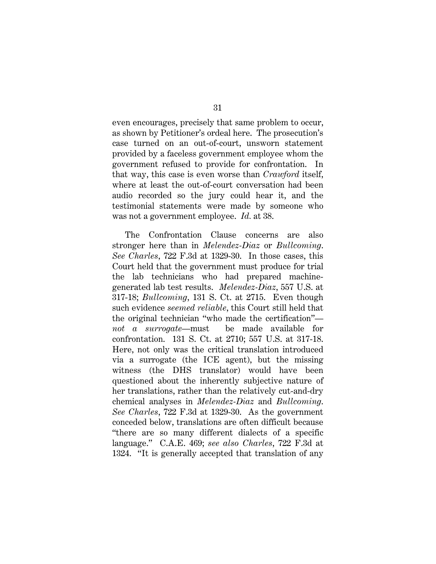even encourages, precisely that same problem to occur, as shown by Petitioner's ordeal here. The prosecution's case turned on an out-of-court, unsworn statement provided by a faceless government employee whom the government refused to provide for confrontation. In that way, this case is even worse than *Crawford* itself, where at least the out-of-court conversation had been audio recorded so the jury could hear it, and the testimonial statements were made by someone who was not a government employee. *Id.* at 38.

The Confrontation Clause concerns are also stronger here than in *Melendez-Diaz* or *Bullcoming*. *See Charles*, 722 F.3d at 1329-30. In those cases, this Court held that the government must produce for trial the lab technicians who had prepared machinegenerated lab test results. *Melendez-Diaz*, 557 U.S. at 317-18; *Bullcoming*, 131 S. Ct. at 2715. Even though such evidence *seemed reliable*, this Court still held that the original technician "who made the certification" *not a surrogate*—must be made available for confrontation. 131 S. Ct. at 2710; 557 U.S. at 317-18. Here, not only was the critical translation introduced via a surrogate (the ICE agent), but the missing witness (the DHS translator) would have been questioned about the inherently subjective nature of her translations, rather than the relatively cut-and-dry chemical analyses in *Melendez-Diaz* and *Bullcoming*. *See Charles*, 722 F.3d at 1329-30. As the government conceded below, translations are often difficult because "there are so many different dialects of a specific language." C.A.E. 469; *see also Charles*, 722 F.3d at 1324. "It is generally accepted that translation of any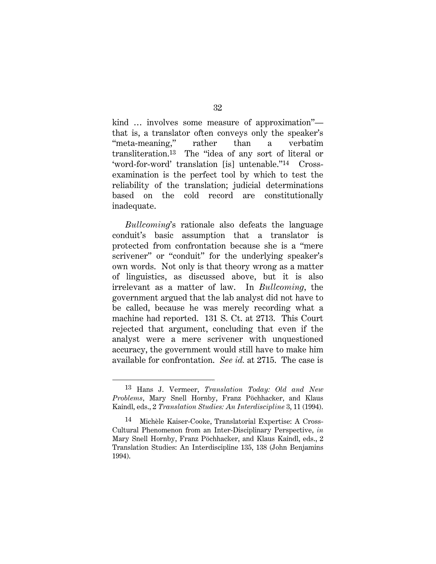kind … involves some measure of approximation" that is, a translator often conveys only the speaker's "meta-meaning," rather than a verbatim transliteration.13 The "idea of any sort of literal or 'word-for-word' translation [is] untenable."14 Crossexamination is the perfect tool by which to test the reliability of the translation; judicial determinations based on the cold record are constitutionally inadequate.

*Bullcoming*'s rationale also defeats the language conduit's basic assumption that a translator is protected from confrontation because she is a "mere scrivener" or "conduit" for the underlying speaker's own words. Not only is that theory wrong as a matter of linguistics, as discussed above, but it is also irrelevant as a matter of law. In *Bullcoming*, the government argued that the lab analyst did not have to be called, because he was merely recording what a machine had reported. 131 S. Ct. at 2713. This Court rejected that argument, concluding that even if the analyst were a mere scrivener with unquestioned accuracy, the government would still have to make him available for confrontation. *See id.* at 2715. The case is

<sup>13</sup> Hans J. Vermeer, *Translation Today: Old and New Problems*, Mary Snell Hornby, Franz Pöchhacker, and Klaus Kaindl, eds., 2 *Translation Studies: An Interdiscipline* 3, 11 (1994).

<sup>14</sup> Michèle Kaiser-Cooke, Translatorial Expertise: A Cross-Cultural Phenomenon from an Inter-Disciplinary Perspective, *in* Mary Snell Hornby, Franz Pöchhacker, and Klaus Kaindl, eds., 2 Translation Studies: An Interdiscipline 135, 138 (John Benjamins 1994).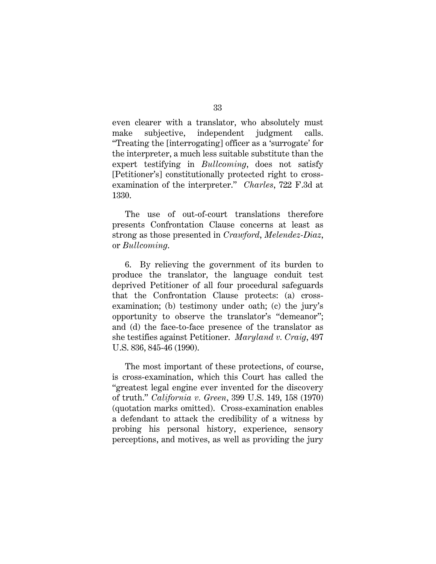even clearer with a translator, who absolutely must make subjective, independent judgment calls. "Treating the [interrogating] officer as a 'surrogate' for the interpreter, a much less suitable substitute than the expert testifying in *Bullcoming*, does not satisfy [Petitioner's] constitutionally protected right to crossexamination of the interpreter." *Charles*, 722 F.3d at 1330.

The use of out-of-court translations therefore presents Confrontation Clause concerns at least as strong as those presented in *Crawford*, *Melendez-Diaz*, or *Bullcoming*.

6. By relieving the government of its burden to produce the translator, the language conduit test deprived Petitioner of all four procedural safeguards that the Confrontation Clause protects: (a) crossexamination; (b) testimony under oath; (c) the jury's opportunity to observe the translator's "demeanor"; and (d) the face-to-face presence of the translator as she testifies against Petitioner. *Maryland v. Craig*, 497 U.S. 836, 845-46 (1990).

The most important of these protections, of course, is cross-examination, which this Court has called the "greatest legal engine ever invented for the discovery of truth." *California v. Green*, 399 U.S. 149, 158 (1970) (quotation marks omitted). Cross-examination enables a defendant to attack the credibility of a witness by probing his personal history, experience, sensory perceptions, and motives, as well as providing the jury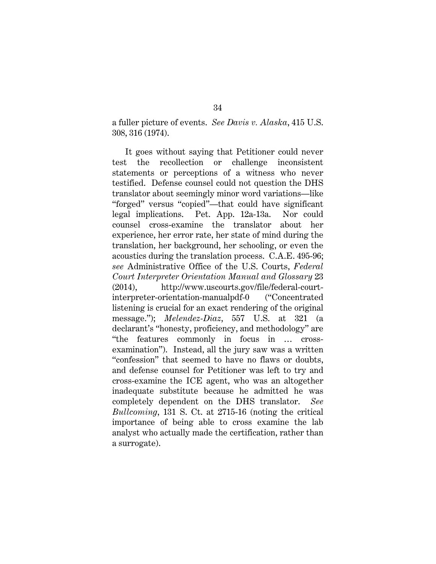a fuller picture of events. *See Davis v. Alaska*, 415 U.S. 308, 316 (1974).

It goes without saying that Petitioner could never test the recollection or challenge inconsistent statements or perceptions of a witness who never testified. Defense counsel could not question the DHS translator about seemingly minor word variations—like "forged" versus "copied"—that could have significant legal implications. Pet. App. 12a-13a. Nor could counsel cross-examine the translator about her experience, her error rate, her state of mind during the translation, her background, her schooling, or even the acoustics during the translation process. C.A.E. 495-96; *see* Administrative Office of the U.S. Courts, *Federal Court Interpreter Orientation Manual and Glossary* 23 (2014), http://www.uscourts.gov/file/federal-courtinterpreter-orientation-manualpdf-0 ("Concentrated listening is crucial for an exact rendering of the original message."); *Melendez-Diaz*, 557 U.S. at 321 (a declarant's "honesty, proficiency, and methodology" are "the features commonly in focus in … crossexamination"). Instead, all the jury saw was a written "confession" that seemed to have no flaws or doubts, and defense counsel for Petitioner was left to try and cross-examine the ICE agent, who was an altogether inadequate substitute because he admitted he was completely dependent on the DHS translator. *See Bullcoming*, 131 S. Ct. at 2715-16 (noting the critical importance of being able to cross examine the lab analyst who actually made the certification, rather than a surrogate).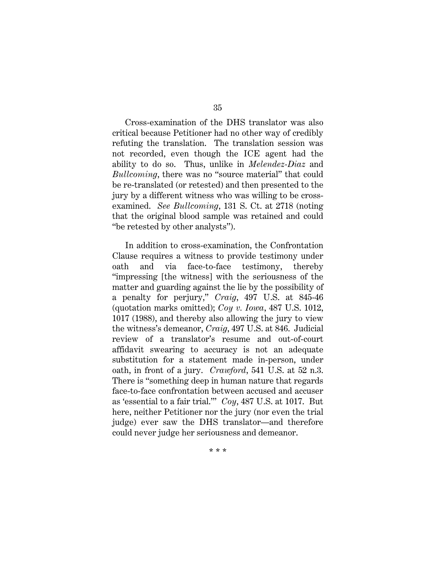Cross-examination of the DHS translator was also critical because Petitioner had no other way of credibly refuting the translation. The translation session was not recorded, even though the ICE agent had the ability to do so. Thus, unlike in *Melendez-Diaz* and *Bullcoming*, there was no "source material" that could be re-translated (or retested) and then presented to the jury by a different witness who was willing to be crossexamined. *See Bullcoming*, 131 S. Ct. at 2718 (noting that the original blood sample was retained and could "be retested by other analysts").

In addition to cross-examination, the Confrontation Clause requires a witness to provide testimony under oath and via face-to-face testimony, thereby "impressing [the witness] with the seriousness of the matter and guarding against the lie by the possibility of a penalty for perjury," *Craig*, 497 U.S. at 845-46 (quotation marks omitted); *Coy v. Iowa*, 487 U.S. 1012, 1017 (1988), and thereby also allowing the jury to view the witness's demeanor, *Craig*, 497 U.S. at 846. Judicial review of a translator's resume and out-of-court affidavit swearing to accuracy is not an adequate substitution for a statement made in-person, under oath, in front of a jury. *Crawford*, 541 U.S. at 52 n.3. There is "something deep in human nature that regards face-to-face confrontation between accused and accuser as 'essential to a fair trial.'" *Coy*, 487 U.S. at 1017. But here, neither Petitioner nor the jury (nor even the trial judge) ever saw the DHS translator—and therefore could never judge her seriousness and demeanor.

35

\* \* \*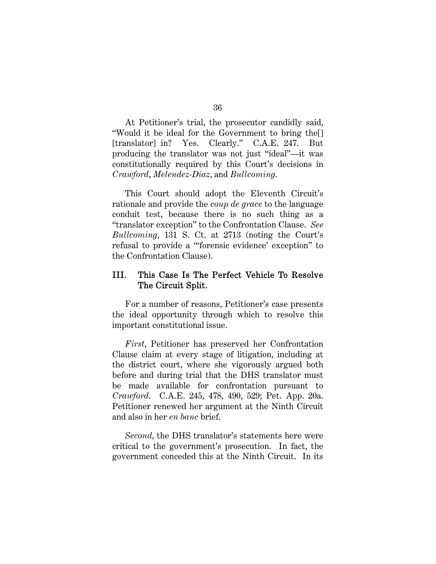At Petitioner's trial, the prosecutor candidly said, "Would it be ideal for the Government to bring the[] [translator] in? Yes. Clearly." C.A.E. 247. But producing the translator was not just "ideal"—it was constitutionally required by this Court's decisions in *Crawford*, *Melendez-Diaz*, and *Bullcoming*.

This Court should adopt the Eleventh Circuit's rationale and provide the *coup de grace* to the language conduit test, because there is no such thing as a "translator exception" to the Confrontation Clause. *See Bullcoming*, 131 S. Ct. at 2713 (noting the Court's refusal to provide a "'forensic evidence' exception" to the Confrontation Clause).

## III. This Case Is The Perfect Vehicle To Resolve The Circuit Split.

For a number of reasons, Petitioner's case presents the ideal opportunity through which to resolve this important constitutional issue.

*First*, Petitioner has preserved her Confrontation Clause claim at every stage of litigation, including at the district court, where she vigorously argued both before and during trial that the DHS translator must be made available for confrontation pursuant to *Crawford*. C.A.E. 245, 478, 490, 529; Pet. App. 20a. Petitioner renewed her argument at the Ninth Circuit and also in her *en banc* brief.

*Second,* the DHS translator's statements here were critical to the government's prosecution. In fact, the government conceded this at the Ninth Circuit. In its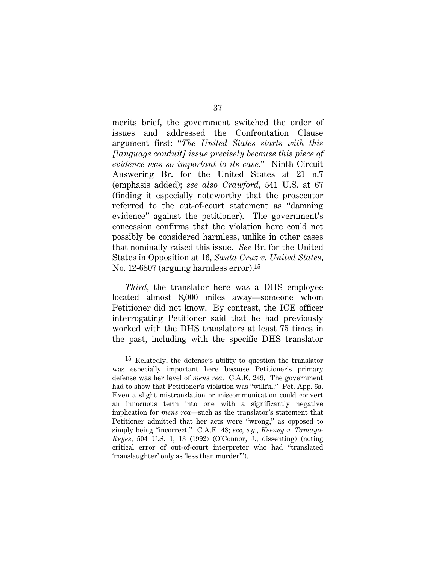merits brief, the government switched the order of issues and addressed the Confrontation Clause argument first: "*The United States starts with this [language conduit] issue precisely because this piece of evidence was so important to its case.*" Ninth Circuit Answering Br. for the United States at 21 n.7 (emphasis added); *see also Crawford*, 541 U.S. at 67 (finding it especially noteworthy that the prosecutor referred to the out-of-court statement as "damning evidence" against the petitioner). The government's concession confirms that the violation here could not possibly be considered harmless, unlike in other cases that nominally raised this issue. *See* Br. for the United States in Opposition at 16, *Santa Cruz v. United States*, No. 12-6807 (arguing harmless error).15

*Third*, the translator here was a DHS employee located almost 8,000 miles away—someone whom Petitioner did not know. By contrast, the ICE officer interrogating Petitioner said that he had previously worked with the DHS translators at least 75 times in the past, including with the specific DHS translator

l

<sup>15</sup> Relatedly, the defense's ability to question the translator was especially important here because Petitioner's primary defense was her level of *mens rea*. C.A.E. 249. The government had to show that Petitioner's violation was "willful." Pet. App. 6a. Even a slight mistranslation or miscommunication could convert an innocuous term into one with a significantly negative implication for *mens rea*—such as the translator's statement that Petitioner admitted that her acts were "wrong," as opposed to simply being "incorrect." C.A.E. 48; *see, e.g.*, *Keeney v. Tamayo-Reyes*, 504 U.S. 1, 13 (1992) (O'Connor, J., dissenting) (noting critical error of out-of-court interpreter who had "translated 'manslaughter' only as 'less than murder'").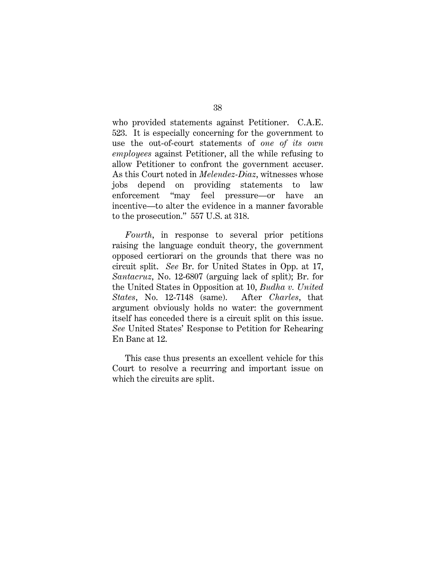who provided statements against Petitioner. C.A.E. 523. It is especially concerning for the government to use the out-of-court statements of *one of its own employees* against Petitioner, all the while refusing to allow Petitioner to confront the government accuser. As this Court noted in *Melendez-Diaz*, witnesses whose jobs depend on providing statements to law enforcement "may feel pressure—or have an incentive—to alter the evidence in a manner favorable to the prosecution." 557 U.S. at 318.

*Fourth*, in response to several prior petitions raising the language conduit theory, the government opposed certiorari on the grounds that there was no circuit split. *See* Br. for United States in Opp. at 17, *Santacruz*, No. 12-6807 (arguing lack of split); Br. for the United States in Opposition at 10, *Budha v. United States*, No. 12-7148 (same). After *Charles*, that argument obviously holds no water: the government itself has conceded there is a circuit split on this issue. *See* United States' Response to Petition for Rehearing En Banc at 12.

This case thus presents an excellent vehicle for this Court to resolve a recurring and important issue on which the circuits are split.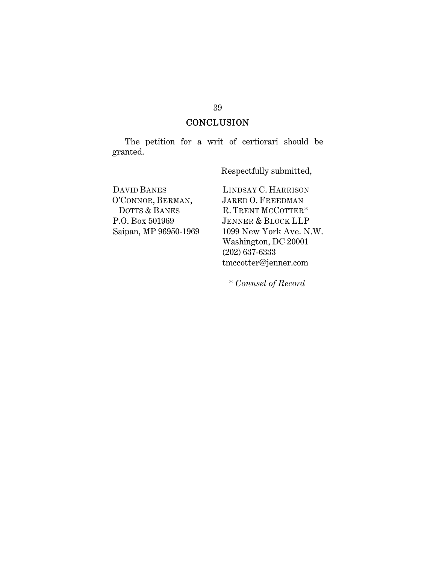## **CONCLUSION**

The petition for a writ of certiorari should be granted.

Respectfully submitted,

DAVID BANES O'CONNOR, BERMAN, DOTTS & BANES P.O. Box 501969 Saipan, MP 96950-1969 LINDSAY C. HARRISON JARED O. FREEDMAN R. TRENT MCCOTTER\* JENNER & BLOCK LLP 1099 New York Ave. N.W. Washington, DC 20001 (202) 637-6333 tmccotter@jenner.com

\* *Counsel of Record*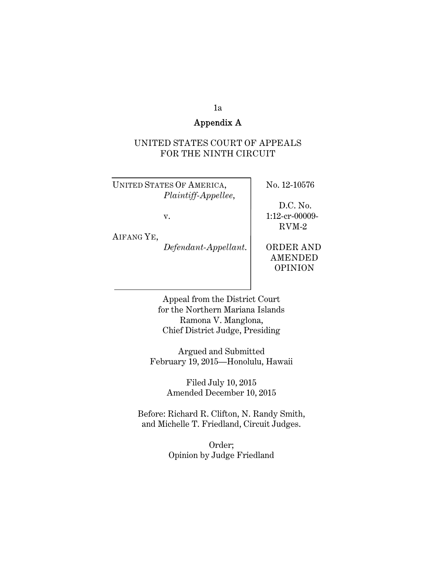## 1a

## Appendix A

### UNITED STATES COURT OF APPEALS FOR THE NINTH CIRCUIT

UNITED STATES OF AMERICA, No. 12-10576 *Plaintiff-Appellee*,

D.C. No.

RVM-2

v. 1:12-cr-00009-

AIFANG YE,

*Defendant-Appellant*. ORDER AND

 AMENDED OPINION

Appeal from the District Court for the Northern Mariana Islands Ramona V. Manglona, Chief District Judge, Presiding

Argued and Submitted February 19, 2015—Honolulu, Hawaii

> Filed July 10, 2015 Amended December 10, 2015

Before: Richard R. Clifton, N. Randy Smith, and Michelle T. Friedland, Circuit Judges.

> Order; Opinion by Judge Friedland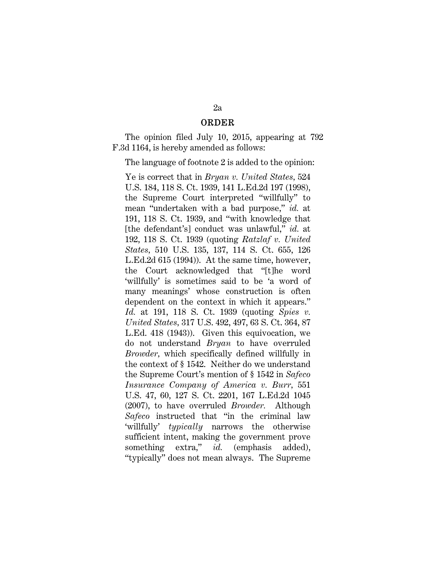#### ORDER

The opinion filed July 10, 2015, appearing at 792 F.3d 1164, is hereby amended as follows:

The language of footnote 2 is added to the opinion:

Ye is correct that in *Bryan v. United States,* 524 U.S. 184, 118 S. Ct. 1939, 141 L.Ed.2d 197 (1998), the Supreme Court interpreted "willfully" to mean "undertaken with a bad purpose," *id.* at 191, 118 S. Ct. 1939, and "with knowledge that [the defendant's] conduct was unlawful," *id.* at 192, 118 S. Ct. 1939 (quoting *Ratzlaf v. United States,* 510 U.S. 135, 137, 114 S. Ct. 655, 126 L.Ed.2d 615 (1994)). At the same time, however, the Court acknowledged that "[t]he word 'willfully' is sometimes said to be 'a word of many meanings' whose construction is often dependent on the context in which it appears." *Id.* at 191, 118 S. Ct. 1939 (quoting *Spies v. United States,* 317 U.S. 492, 497, 63 S. Ct. 364, 87 L.Ed. 418 (1943)). Given this equivocation, we do not understand *Bryan* to have overruled *Browder,* which specifically defined willfully in the context of § 1542. Neither do we understand the Supreme Court's mention of § 1542 in *Safeco Insurance Company of America v. Burr,* 551 U.S. 47, 60, 127 S. Ct. 2201, 167 L.Ed.2d 1045 (2007), to have overruled *Browder.* Although *Safeco* instructed that "in the criminal law 'willfully' *typically* narrows the otherwise sufficient intent, making the government prove something extra," *id.* (emphasis added), "typically" does not mean always. The Supreme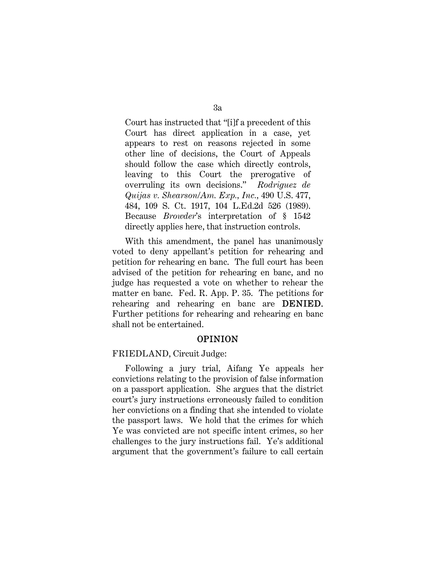Court has instructed that "[i]f a precedent of this Court has direct application in a case, yet appears to rest on reasons rejected in some other line of decisions, the Court of Appeals should follow the case which directly controls, leaving to this Court the prerogative of overruling its own decisions." *Rodriguez de Quijas v. Shearson/Am. Exp., Inc.,* 490 U.S. 477, 484, 109 S. Ct. 1917, 104 L.Ed.2d 526 (1989). Because *Browder*'s interpretation of § 1542 directly applies here, that instruction controls.

With this amendment, the panel has unanimously voted to deny appellant's petition for rehearing and petition for rehearing en banc. The full court has been advised of the petition for rehearing en banc, and no judge has requested a vote on whether to rehear the matter en banc. Fed. R. App. P. 35. The petitions for rehearing and rehearing en banc are DENIED. Further petitions for rehearing and rehearing en banc shall not be entertained.

#### OPINION

#### FRIEDLAND, Circuit Judge:

Following a jury trial, Aifang Ye appeals her convictions relating to the provision of false information on a passport application. She argues that the district court's jury instructions erroneously failed to condition her convictions on a finding that she intended to violate the passport laws. We hold that the crimes for which Ye was convicted are not specific intent crimes, so her challenges to the jury instructions fail. Ye's additional argument that the government's failure to call certain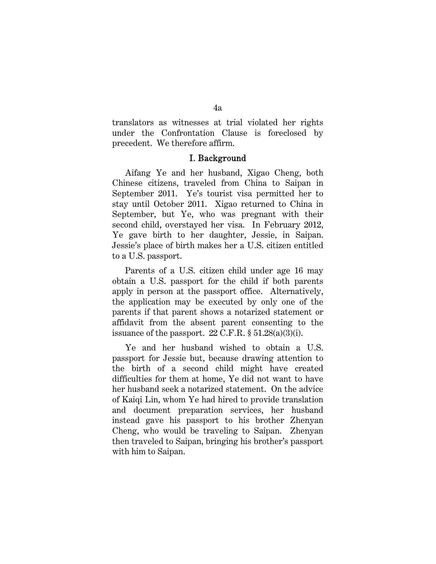translators as witnesses at trial violated her rights under the Confrontation Clause is foreclosed by precedent. We therefore affirm.

#### I. Background

Aifang Ye and her husband, Xigao Cheng, both Chinese citizens, traveled from China to Saipan in September 2011. Ye's tourist visa permitted her to stay until October 2011. Xigao returned to China in September, but Ye, who was pregnant with their second child, overstayed her visa. In February 2012, Ye gave birth to her daughter, Jessie, in Saipan. Jessie's place of birth makes her a U.S. citizen entitled to a U.S. passport.

Parents of a U.S. citizen child under age 16 may obtain a U.S. passport for the child if both parents apply in person at the passport office. Alternatively, the application may be executed by only one of the parents if that parent shows a notarized statement or affidavit from the absent parent consenting to the issuance of the passport.  $22$  C.F.R.  $\S 51.28(a)(3)(i)$ .

Ye and her husband wished to obtain a U.S. passport for Jessie but, because drawing attention to the birth of a second child might have created difficulties for them at home, Ye did not want to have her husband seek a notarized statement. On the advice of Kaiqi Lin, whom Ye had hired to provide translation and document preparation services, her husband instead gave his passport to his brother Zhenyan Cheng, who would be traveling to Saipan. Zhenyan then traveled to Saipan, bringing his brother's passport with him to Saipan.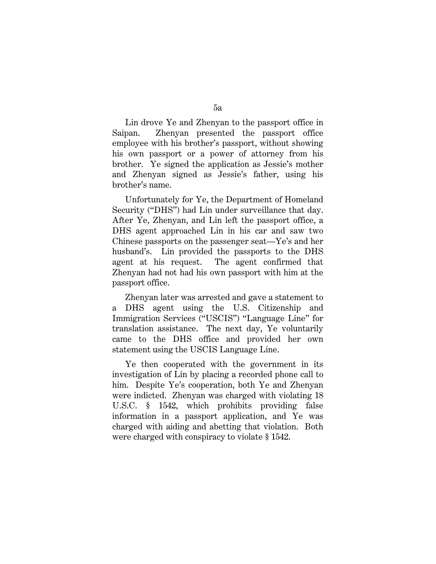Lin drove Ye and Zhenyan to the passport office in Saipan. Zhenyan presented the passport office employee with his brother's passport, without showing his own passport or a power of attorney from his brother. Ye signed the application as Jessie's mother and Zhenyan signed as Jessie's father, using his brother's name.

Unfortunately for Ye, the Department of Homeland Security ("DHS") had Lin under surveillance that day. After Ye, Zhenyan, and Lin left the passport office, a DHS agent approached Lin in his car and saw two Chinese passports on the passenger seat—Ye's and her husband's. Lin provided the passports to the DHS agent at his request. The agent confirmed that Zhenyan had not had his own passport with him at the passport office.

Zhenyan later was arrested and gave a statement to a DHS agent using the U.S. Citizenship and Immigration Services ("USCIS") "Language Line" for translation assistance. The next day, Ye voluntarily came to the DHS office and provided her own statement using the USCIS Language Line.

Ye then cooperated with the government in its investigation of Lin by placing a recorded phone call to him. Despite Ye's cooperation, both Ye and Zhenyan were indicted. Zhenyan was charged with violating 18 U.S.C. § 1542, which prohibits providing false information in a passport application, and Ye was charged with aiding and abetting that violation. Both were charged with conspiracy to violate § 1542.

5a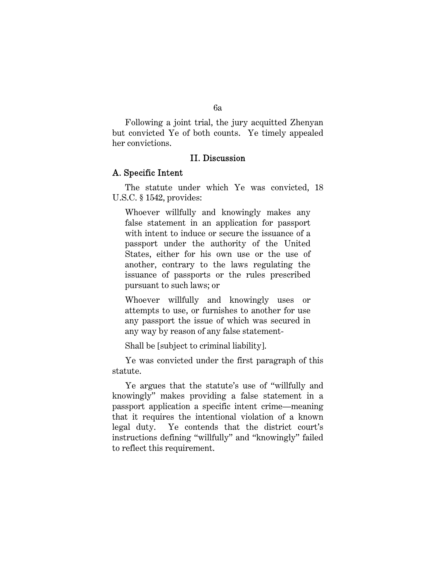Following a joint trial, the jury acquitted Zhenyan but convicted Ye of both counts. Ye timely appealed her convictions.

### II. Discussion

#### A. Specific Intent

The statute under which Ye was convicted, 18 U.S.C. § 1542, provides:

Whoever willfully and knowingly makes any false statement in an application for passport with intent to induce or secure the issuance of a passport under the authority of the United States, either for his own use or the use of another, contrary to the laws regulating the issuance of passports or the rules prescribed pursuant to such laws; or

Whoever willfully and knowingly uses or attempts to use, or furnishes to another for use any passport the issue of which was secured in any way by reason of any false statement-

Shall be [subject to criminal liability].

Ye was convicted under the first paragraph of this statute.

Ye argues that the statute's use of "willfully and knowingly" makes providing a false statement in a passport application a specific intent crime—meaning that it requires the intentional violation of a known legal duty. Ye contends that the district court's instructions defining "willfully" and "knowingly" failed to reflect this requirement.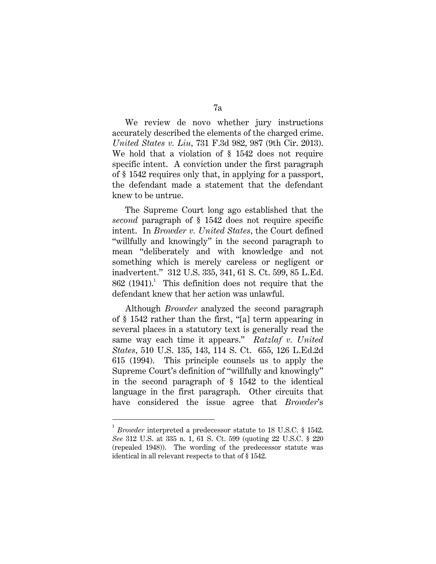We review de novo whether jury instructions accurately described the elements of the charged crime. *United States v. Liu,* 731 F.3d 982, 987 (9th Cir. 2013). We hold that a violation of § 1542 does not require specific intent. A conviction under the first paragraph of § 1542 requires only that, in applying for a passport, the defendant made a statement that the defendant knew to be untrue.

The Supreme Court long ago established that the *second* paragraph of § 1542 does not require specific intent. In *Browder v. United States,* the Court defined "willfully and knowingly" in the second paragraph to mean "deliberately and with knowledge and not something which is merely careless or negligent or inadvertent." 312 U.S. 335, 341, 61 S. Ct. 599, 85 L.Ed.  $862$  (1941).<sup>1</sup> This definition does not require that the defendant knew that her action was unlawful.

Although *Browder* analyzed the second paragraph of § 1542 rather than the first, "[a] term appearing in several places in a statutory text is generally read the same way each time it appears." *Ratzlaf v. United States,* 510 U.S. 135, 143, 114 S. Ct. 655, 126 L.Ed.2d 615 (1994). This principle counsels us to apply the Supreme Court's definition of "willfully and knowingly" in the second paragraph of § 1542 to the identical language in the first paragraph. Other circuits that have considered the issue agree that *Browder*'s

 $\overline{a}$ 

<sup>1</sup> *Browder* interpreted a predecessor statute to 18 U.S.C. § 1542. *See* 312 U.S. at 335 n. 1, 61 S. Ct. 599 (quoting 22 U.S.C. § 220 (repealed 1948)). The wording of the predecessor statute was identical in all relevant respects to that of § 1542.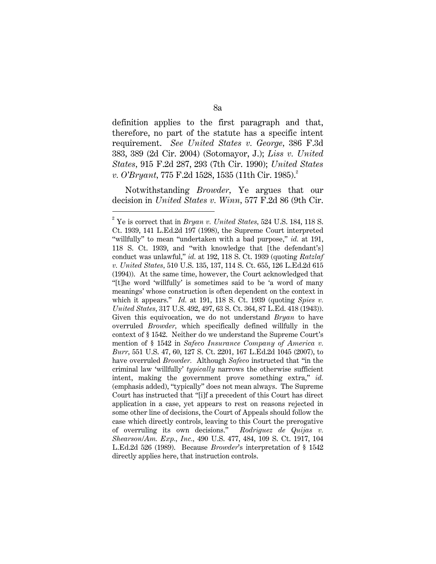definition applies to the first paragraph and that, therefore, no part of the statute has a specific intent requirement. *See United States v. George,* 386 F.3d 383, 389 (2d Cir. 2004) (Sotomayor, J.); *Liss v. United States,* 915 F.2d 287, 293 (7th Cir. 1990); *United States v. O'Bryant,* 775 F.2d 1528, 1535 (11th Cir. 1985).<sup>2</sup>

Notwithstanding *Browder,* Ye argues that our decision in *United States v. Winn,* 577 F.2d 86 (9th Cir.

 $\overline{a}$ 

8a

<sup>2</sup> Ye is correct that in *Bryan v. United States,* 524 U.S. 184, 118 S. Ct. 1939, 141 L.Ed.2d 197 (1998), the Supreme Court interpreted "willfully" to mean "undertaken with a bad purpose," *id.* at 191, 118 S. Ct. 1939, and "with knowledge that [the defendant's] conduct was unlawful," *id.* at 192, 118 S. Ct. 1939 (quoting *Ratzlaf v. United States,* 510 U.S. 135, 137, 114 S. Ct. 655, 126 L.Ed.2d 615 (1994)). At the same time, however, the Court acknowledged that "[t]he word 'willfully' is sometimes said to be 'a word of many meanings' whose construction is often dependent on the context in which it appears." *Id.* at 191, 118 S. Ct. 1939 (quoting *Spies v. United States,* 317 U.S. 492, 497, 63 S. Ct. 364, 87 L.Ed. 418 (1943)). Given this equivocation, we do not understand *Bryan* to have overruled *Browder,* which specifically defined willfully in the context of § 1542. Neither do we understand the Supreme Court's mention of § 1542 in *Safeco Insurance Company of America v. Burr,* 551 U.S. 47, 60, 127 S. Ct. 2201, 167 L.Ed.2d 1045 (2007), to have overruled *Browder.* Although *Safeco* instructed that "in the criminal law 'willfully' *typically* narrows the otherwise sufficient intent, making the government prove something extra," *id.* (emphasis added), "typically" does not mean always. The Supreme Court has instructed that "[i]f a precedent of this Court has direct application in a case, yet appears to rest on reasons rejected in some other line of decisions, the Court of Appeals should follow the case which directly controls, leaving to this Court the prerogative of overruling its own decisions." *Rodriguez de Quijas v. Shearson/Am. Exp., Inc.,* 490 U.S. 477, 484, 109 S. Ct. 1917, 104 L.Ed.2d 526 (1989). Because *Browder*'s interpretation of § 1542 directly applies here, that instruction controls.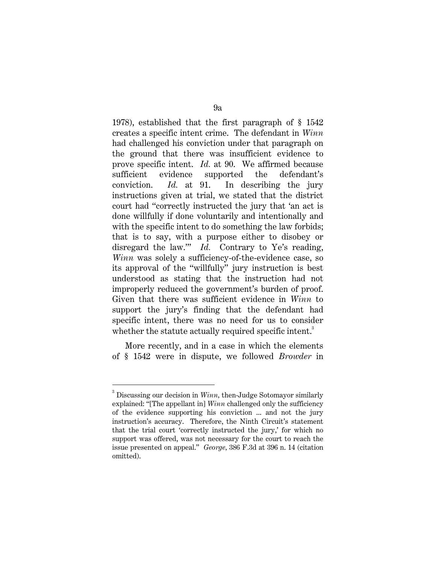1978), established that the first paragraph of § 1542 creates a specific intent crime. The defendant in *Winn* had challenged his conviction under that paragraph on the ground that there was insufficient evidence to prove specific intent. *Id.* at 90. We affirmed because sufficient evidence supported the defendant's conviction. *Id.* at 91. In describing the jury instructions given at trial, we stated that the district court had "correctly instructed the jury that 'an act is done willfully if done voluntarily and intentionally and with the specific intent to do something the law forbids; that is to say, with a purpose either to disobey or disregard the law." *Id.* Contrary to Ye's reading, *Winn* was solely a sufficiency-of-the-evidence case, so its approval of the "willfully" jury instruction is best understood as stating that the instruction had not improperly reduced the government's burden of proof. Given that there was sufficient evidence in *Winn* to support the jury's finding that the defendant had specific intent, there was no need for us to consider whether the statute actually required specific intent.<sup>3</sup>

More recently, and in a case in which the elements of § 1542 were in dispute, we followed *Browder* in

 $\overline{a}$ 

 $3$  Discussing our decision in  $Winn$ , then-Judge Sotomayor similarly explained: "[The appellant in] *Winn* challenged only the sufficiency of the evidence supporting his conviction ... and not the jury instruction's accuracy. Therefore, the Ninth Circuit's statement that the trial court 'correctly instructed the jury,' for which no support was offered, was not necessary for the court to reach the issue presented on appeal." *George,* 386 F.3d at 396 n. 14 (citation omitted).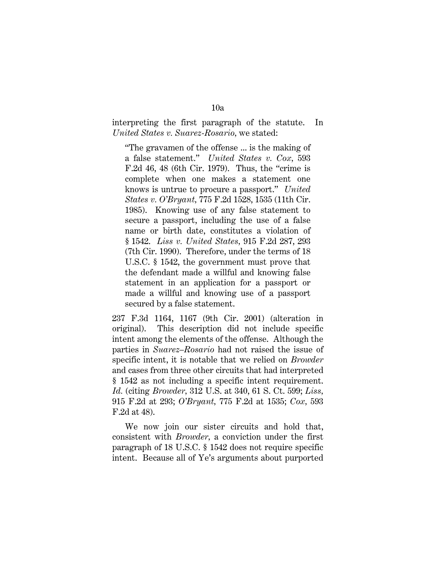#### interpreting the first paragraph of the statute. In *United States v. Suarez-Rosario,* we stated:

"The gravamen of the offense ... is the making of a false statement." *United States v. Cox,* 593 F.2d 46, 48 (6th Cir. 1979). Thus, the "crime is complete when one makes a statement one knows is untrue to procure a passport." *United States v. O'Bryant,* 775 F.2d 1528, 1535 (11th Cir. 1985). Knowing use of any false statement to secure a passport, including the use of a false name or birth date, constitutes a violation of § 1542. *Liss v. United States,* 915 F.2d 287, 293 (7th Cir. 1990). Therefore, under the terms of 18 U.S.C. § 1542, the government must prove that the defendant made a willful and knowing false statement in an application for a passport or made a willful and knowing use of a passport secured by a false statement.

237 F.3d 1164, 1167 (9th Cir. 2001) (alteration in original). This description did not include specific intent among the elements of the offense. Although the parties in *Suarez–Rosario* had not raised the issue of specific intent, it is notable that we relied on *Browder* and cases from three other circuits that had interpreted § 1542 as not including a specific intent requirement. *Id.* (citing *Browder,* 312 U.S. at 340, 61 S. Ct. 599; *Liss,* 915 F.2d at 293; *O'Bryant,* 775 F.2d at 1535; *Cox,* 593 F.2d at 48).

We now join our sister circuits and hold that, consistent with *Browder,* a conviction under the first paragraph of 18 U.S.C. § 1542 does not require specific intent. Because all of Ye's arguments about purported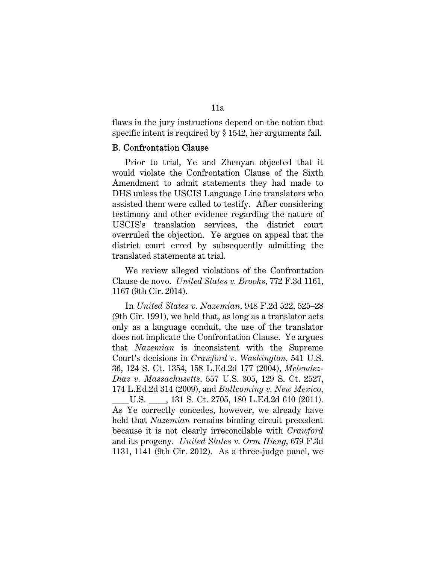flaws in the jury instructions depend on the notion that specific intent is required by § 1542, her arguments fail.

#### B. Confrontation Clause

Prior to trial, Ye and Zhenyan objected that it would violate the Confrontation Clause of the Sixth Amendment to admit statements they had made to DHS unless the USCIS Language Line translators who assisted them were called to testify. After considering testimony and other evidence regarding the nature of USCIS's translation services, the district court overruled the objection. Ye argues on appeal that the district court erred by subsequently admitting the translated statements at trial.

We review alleged violations of the Confrontation Clause de novo. *United States v. Brooks,* 772 F.3d 1161, 1167 (9th Cir. 2014).

In *United States v. Nazemian,* 948 F.2d 522, 525–28 (9th Cir. 1991), we held that, as long as a translator acts only as a language conduit, the use of the translator does not implicate the Confrontation Clause. Ye argues that *Nazemian* is inconsistent with the Supreme Court's decisions in *Crawford v. Washington,* 541 U.S. 36, 124 S. Ct. 1354, 158 L.Ed.2d 177 (2004), *Melendez-Diaz v. Massachusetts,* 557 U.S. 305, 129 S. Ct. 2527, 174 L.Ed.2d 314 (2009), and *Bullcoming v. New Mexico,* \_\_\_\_U.S. \_\_\_\_, 131 S. Ct. 2705, 180 L.Ed.2d 610 (2011). As Ye correctly concedes, however, we already have held that *Nazemian* remains binding circuit precedent because it is not clearly irreconcilable with *Crawford* and its progeny. *United States v. Orm Hieng,* 679 F.3d 1131, 1141 (9th Cir. 2012). As a three-judge panel, we

11a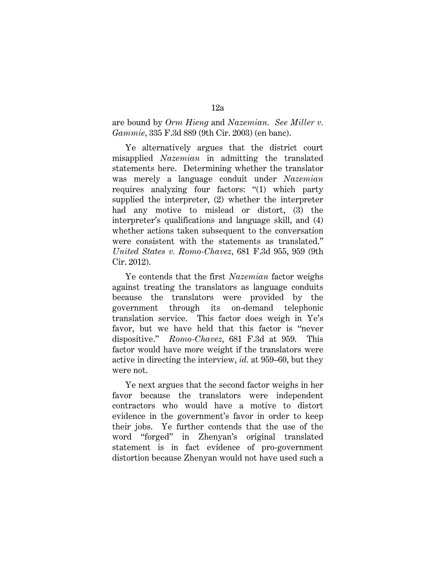are bound by *Orm Hieng* and *Nazemian. See Miller v. Gammie,* 335 F.3d 889 (9th Cir. 2003) (en banc).

Ye alternatively argues that the district court misapplied *Nazemian* in admitting the translated statements here. Determining whether the translator was merely a language conduit under *Nazemian* requires analyzing four factors: "(1) which party supplied the interpreter, (2) whether the interpreter had any motive to mislead or distort, (3) the interpreter's qualifications and language skill, and (4) whether actions taken subsequent to the conversation were consistent with the statements as translated." *United States v. Romo-Chavez,* 681 F.3d 955, 959 (9th Cir. 2012).

Ye contends that the first *Nazemian* factor weighs against treating the translators as language conduits because the translators were provided by the government through its on-demand telephonic translation service. This factor does weigh in Ye's favor, but we have held that this factor is "never dispositive." *Romo-Chavez,* 681 F.3d at 959. This factor would have more weight if the translators were active in directing the interview, *id.* at 959–60, but they were not.

Ye next argues that the second factor weighs in her favor because the translators were independent contractors who would have a motive to distort evidence in the government's favor in order to keep their jobs. Ye further contends that the use of the word "forged" in Zhenyan's original translated statement is in fact evidence of pro-government distortion because Zhenyan would not have used such a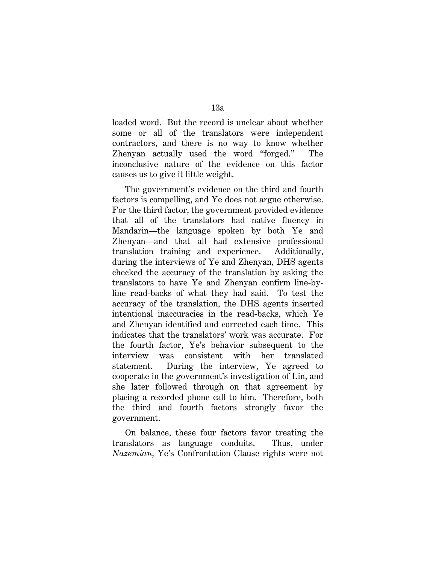loaded word. But the record is unclear about whether some or all of the translators were independent contractors, and there is no way to know whether Zhenyan actually used the word "forged." The inconclusive nature of the evidence on this factor causes us to give it little weight.

The government's evidence on the third and fourth factors is compelling, and Ye does not argue otherwise. For the third factor, the government provided evidence that all of the translators had native fluency in Mandarin—the language spoken by both Ye and Zhenyan—and that all had extensive professional translation training and experience. Additionally, during the interviews of Ye and Zhenyan, DHS agents checked the accuracy of the translation by asking the translators to have Ye and Zhenyan confirm line-byline read-backs of what they had said. To test the accuracy of the translation, the DHS agents inserted intentional inaccuracies in the read-backs, which Ye and Zhenyan identified and corrected each time. This indicates that the translators' work was accurate. For the fourth factor, Ye's behavior subsequent to the interview was consistent with her translated statement. During the interview, Ye agreed to cooperate in the government's investigation of Lin, and she later followed through on that agreement by placing a recorded phone call to him. Therefore, both the third and fourth factors strongly favor the government.

On balance, these four factors favor treating the translators as language conduits. Thus, under *Nazemian,* Ye's Confrontation Clause rights were not

13a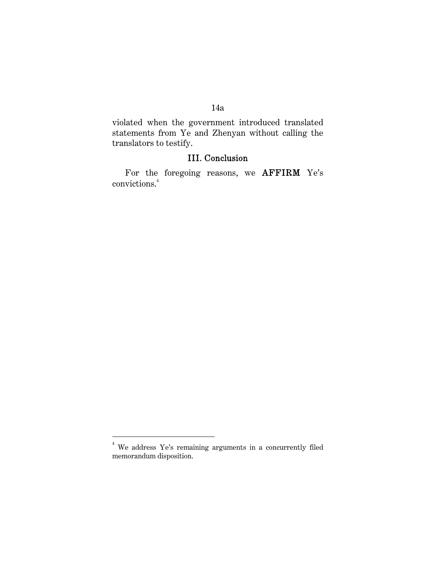## 14a

violated when the government introduced translated statements from Ye and Zhenyan without calling the translators to testify.

## III. Conclusion

For the foregoing reasons, we AFFIRM Ye's convictions.<sup>4</sup>

 4 We address Ye's remaining arguments in a concurrently filed memorandum disposition.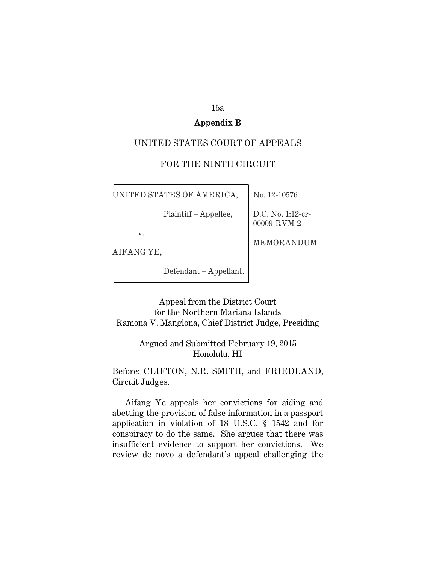#### 15a

### Appendix B

#### UNITED STATES COURT OF APPEALS

### FOR THE NINTH CIRCUIT

UNITED STATES OF AMERICA,  $\vert$  No. 12-10576

Plaintiff – Appellee, D.C. No. 1:12-cr-

00009-RVM-2

MEMORANDUM

v.

AIFANG YE,

Defendant – Appellant.

Appeal from the District Court for the Northern Mariana Islands Ramona V. Manglona, Chief District Judge, Presiding

### Argued and Submitted February 19, 2015 Honolulu, HI

Before: CLIFTON, N.R. SMITH, and FRIEDLAND, Circuit Judges.

Aifang Ye appeals her convictions for aiding and abetting the provision of false information in a passport application in violation of 18 U.S.C. § 1542 and for conspiracy to do the same. She argues that there was insufficient evidence to support her convictions. We review de novo a defendant's appeal challenging the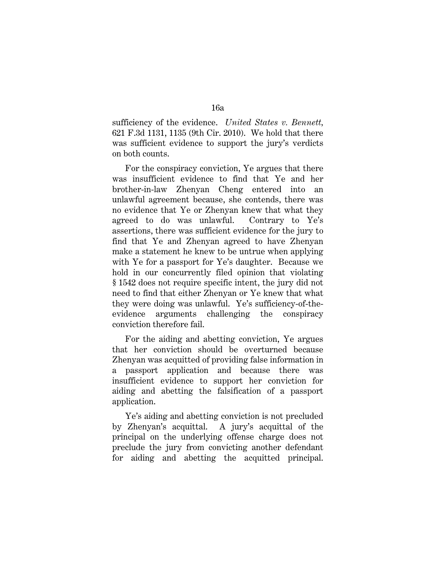sufficiency of the evidence. *United States v. Bennett,* 621 F.3d 1131, 1135 (9th Cir. 2010). We hold that there was sufficient evidence to support the jury's verdicts on both counts.

For the conspiracy conviction, Ye argues that there was insufficient evidence to find that Ye and her brother-in-law Zhenyan Cheng entered into an unlawful agreement because, she contends, there was no evidence that Ye or Zhenyan knew that what they agreed to do was unlawful. Contrary to Ye's assertions, there was sufficient evidence for the jury to find that Ye and Zhenyan agreed to have Zhenyan make a statement he knew to be untrue when applying with Ye for a passport for Ye's daughter. Because we hold in our concurrently filed opinion that violating § 1542 does not require specific intent, the jury did not need to find that either Zhenyan or Ye knew that what they were doing was unlawful. Ye's sufficiency-of-theevidence arguments challenging the conspiracy conviction therefore fail.

For the aiding and abetting conviction, Ye argues that her conviction should be overturned because Zhenyan was acquitted of providing false information in a passport application and because there was insufficient evidence to support her conviction for aiding and abetting the falsification of a passport application.

Ye's aiding and abetting conviction is not precluded by Zhenyan's acquittal. A jury's acquittal of the principal on the underlying offense charge does not preclude the jury from convicting another defendant for aiding and abetting the acquitted principal.

16a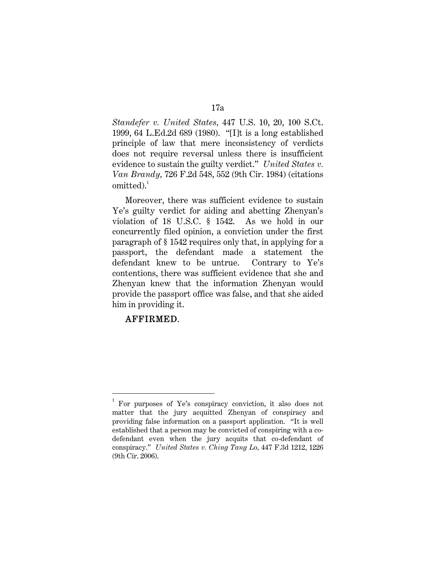*Standefer v. United States,* 447 U.S. 10, 20, 100 S.Ct. 1999, 64 L.Ed.2d 689 (1980). "[I]t is a long established principle of law that mere inconsistency of verdicts does not require reversal unless there is insufficient evidence to sustain the guilty verdict." *United States v. Van Brandy,* 726 F.2d 548, 552 (9th Cir. 1984) (citations  $omitted).$ <sup>1</sup>

Moreover, there was sufficient evidence to sustain Ye's guilty verdict for aiding and abetting Zhenyan's violation of 18 U.S.C. § 1542. As we hold in our concurrently filed opinion, a conviction under the first paragraph of § 1542 requires only that, in applying for a passport, the defendant made a statement the defendant knew to be untrue. Contrary to Ye's contentions, there was sufficient evidence that she and Zhenyan knew that the information Zhenyan would provide the passport office was false, and that she aided him in providing it.

### AFFIRMED.

 $\overline{a}$ 

## 17a

<sup>1</sup> For purposes of Ye's conspiracy conviction, it also does not matter that the jury acquitted Zhenyan of conspiracy and providing false information on a passport application. "It is well established that a person may be convicted of conspiring with a codefendant even when the jury acquits that co-defendant of conspiracy." *United States v. Ching Tang Lo,* 447 F.3d 1212, 1226 (9th Cir. 2006).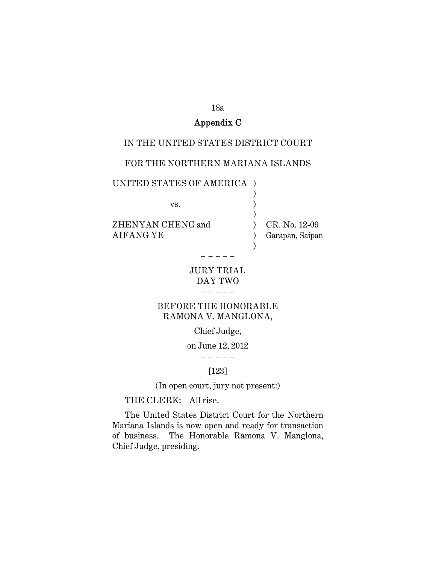#### 18a

## Appendix C

#### IN THE UNITED STATES DISTRICT COURT

### FOR THE NORTHERN MARIANA ISLANDS

## UNITED STATES OF AMERICA )  $\qquad \qquad )$

 $\qquad \qquad )$ 

 $\qquad \qquad )$ 

vs. )

ZHENYAN CHENG and  $\qquad$  ) CR. No. 12-09 AIFANG YE ) Garapan, Saipan

#### JURY TRIAL DAY TWO − − − − −

− − − − −

## BEFORE THE HONORABLE RAMONA V. MANGLONA,

### Chief Judge,

#### on June 12, 2012 − − − − −

#### [123]

(In open court, jury not present:)

## THE CLERK: All rise.

The United States District Court for the Northern Mariana Islands is now open and ready for transaction of business. The Honorable Ramona V. Manglona, Chief Judge, presiding.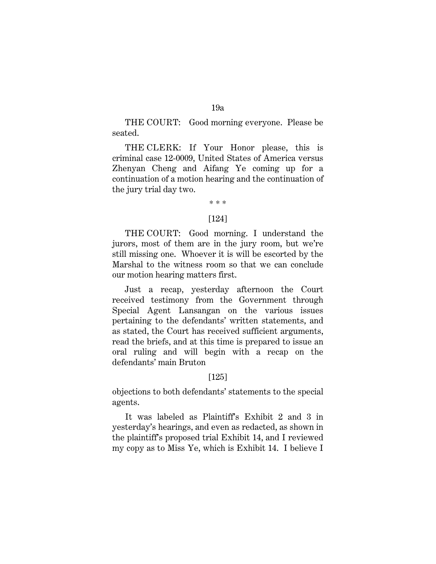THE COURT: Good morning everyone. Please be seated.

THE CLERK: If Your Honor please, this is criminal case 12-0009, United States of America versus Zhenyan Cheng and Aifang Ye coming up for a continuation of a motion hearing and the continuation of the jury trial day two.

# \* \* \*

#### [124]

THE COURT: Good morning. I understand the jurors, most of them are in the jury room, but we're still missing one. Whoever it is will be escorted by the Marshal to the witness room so that we can conclude our motion hearing matters first.

Just a recap, yesterday afternoon the Court received testimony from the Government through Special Agent Lansangan on the various issues pertaining to the defendants' written statements, and as stated, the Court has received sufficient arguments, read the briefs, and at this time is prepared to issue an oral ruling and will begin with a recap on the defendants' main Bruton

#### [125]

objections to both defendants' statements to the special agents.

It was labeled as Plaintiff's Exhibit 2 and 3 in yesterday's hearings, and even as redacted, as shown in the plaintiff's proposed trial Exhibit 14, and I reviewed my copy as to Miss Ye, which is Exhibit 14. I believe I